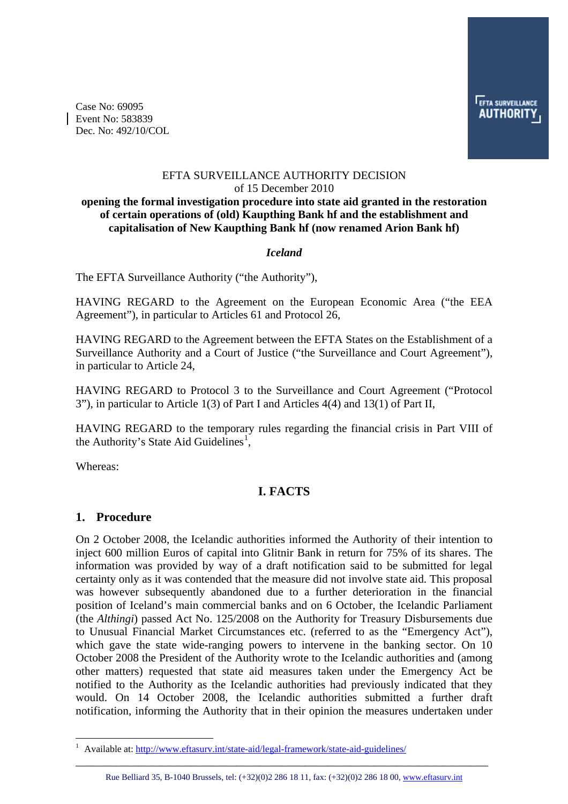Case No: 69095 Event No: 583839 Dec. No: 492/10/COL

#### EFTA SURVEILLANCE AUTHORITY DECISION of 15 December 2010

#### **opening the formal investigation procedure into state aid granted in the restoration of certain operations of (old) Kaupthing Bank hf and the establishment and capitalisation of New Kaupthing Bank hf (now renamed Arion Bank hf)**

#### *Iceland*

The EFTA Surveillance Authority ("the Authority"),

HAVING REGARD to the Agreement on the European Economic Area ("the EEA Agreement"), in particular to Articles 61 and Protocol 26,

HAVING REGARD to the Agreement between the EFTA States on the Establishment of a Surveillance Authority and a Court of Justice ("the Surveillance and Court Agreement"), in particular to Article 24,

HAVING REGARD to Protocol 3 to the Surveillance and Court Agreement ("Protocol 3"), in particular to Article 1(3) of Part I and Articles 4(4) and 13(1) of Part II,

HAVING REGARD to the temporary rules regarding the financial crisis in Part VIII of the Authority's State Aid Guidelines<sup>[1](#page-0-0)</sup>,

Whereas:

 $\overline{a}$ 

## **I. FACTS**

#### **1. Procedure**

On 2 October 2008, the Icelandic authorities informed the Authority of their intention to inject 600 million Euros of capital into Glitnir Bank in return for 75% of its shares. The information was provided by way of a draft notification said to be submitted for legal certainty only as it was contended that the measure did not involve state aid. This proposal was however subsequently abandoned due to a further deterioration in the financial position of Iceland's main commercial banks and on 6 October, the Icelandic Parliament (the *Althingi*) passed Act No. 125/2008 on the Authority for Treasury Disbursements due to Unusual Financial Market Circumstances etc. (referred to as the "Emergency Act"), which gave the state wide-ranging powers to intervene in the banking sector. On 10 October 2008 the President of the Authority wrote to the Icelandic authorities and (among other matters) requested that state aid measures taken under the Emergency Act be notified to the Authority as the Icelandic authorities had previously indicated that they would. On 14 October 2008, the Icelandic authorities submitted a further draft notification, informing the Authority that in their opinion the measures undertaken under

<span id="page-0-0"></span><sup>1</sup> Available at: http://www.eftasurv.int/state-aid/legal-framework/state-aid-guidelines/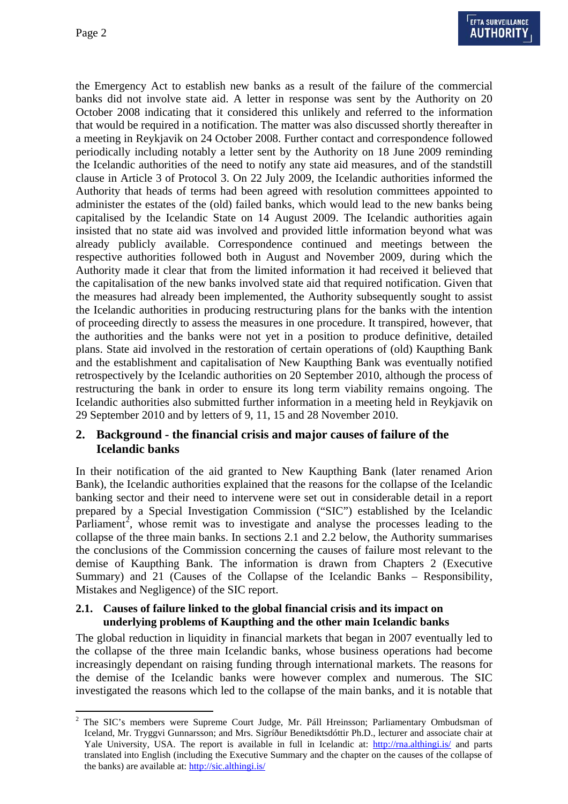$\overline{a}$ 

the Emergency Act to establish new banks as a result of the failure of the commercial banks did not involve state aid. A letter in response was sent by the Authority on 20 October 2008 indicating that it considered this unlikely and referred to the information that would be required in a notification. The matter was also discussed shortly thereafter in a meeting in Reykjavik on 24 October 2008. Further contact and correspondence followed periodically including notably a letter sent by the Authority on 18 June 2009 reminding the Icelandic authorities of the need to notify any state aid measures, and of the standstill clause in Article 3 of Protocol 3. On 22 July 2009, the Icelandic authorities informed the Authority that heads of terms had been agreed with resolution committees appointed to administer the estates of the (old) failed banks, which would lead to the new banks being capitalised by the Icelandic State on 14 August 2009. The Icelandic authorities again insisted that no state aid was involved and provided little information beyond what was already publicly available. Correspondence continued and meetings between the respective authorities followed both in August and November 2009, during which the Authority made it clear that from the limited information it had received it believed that the capitalisation of the new banks involved state aid that required notification. Given that the measures had already been implemented, the Authority subsequently sought to assist the Icelandic authorities in producing restructuring plans for the banks with the intention of proceeding directly to assess the measures in one procedure. It transpired, however, that the authorities and the banks were not yet in a position to produce definitive, detailed plans. State aid involved in the restoration of certain operations of (old) Kaupthing Bank and the establishment and capitalisation of New Kaupthing Bank was eventually notified retrospectively by the Icelandic authorities on 20 September 2010, although the process of restructuring the bank in order to ensure its long term viability remains ongoing. The Icelandic authorities also submitted further information in a meeting held in Reykjavik on 29 September 2010 and by letters of 9, 11, 15 and 28 November 2010.

### **2. Background - the financial crisis and major causes of failure of the Icelandic banks**

In their notification of the aid granted to New Kaupthing Bank (later renamed Arion Bank), the Icelandic authorities explained that the reasons for the collapse of the Icelandic banking sector and their need to intervene were set out in considerable detail in a report prepared by a Special Investigation Commission ("SIC") established by the Icelandic Parliament<sup>[2](#page-1-0)</sup>, whose remit was to investigate and analyse the processes leading to the collapse of the three main banks. In sections 2.1 and 2.2 below, the Authority summarises the conclusions of the Commission concerning the causes of failure most relevant to the demise of Kaupthing Bank. The information is drawn from Chapters 2 (Executive Summary) and 21 (Causes of the Collapse of the Icelandic Banks – Responsibility, Mistakes and Negligence) of the SIC report.

#### **2.1. Causes of failure linked to the global financial crisis and its impact on underlying problems of Kaupthing and the other main Icelandic banks**

The global reduction in liquidity in financial markets that began in 2007 eventually led to the collapse of the three main Icelandic banks, whose business operations had become increasingly dependant on raising funding through international markets. The reasons for the demise of the Icelandic banks were however complex and numerous. The SIC investigated the reasons which led to the collapse of the main banks, and it is notable that

<span id="page-1-0"></span><sup>2</sup> The SIC's members were Supreme Court Judge, Mr. Páll Hreinsson; Parliamentary Ombudsman of Iceland, Mr. Tryggvi Gunnarsson; and Mrs. Sigríður Benediktsdóttir Ph.D., lecturer and associate chair at Yale University, USA. The report is available in full in Icelandic at: http://rna.althingi.is/ and parts translated into English (including the Executive Summary and the chapter on the causes of the collapse of the banks) are available at: http://sic.althingi.is/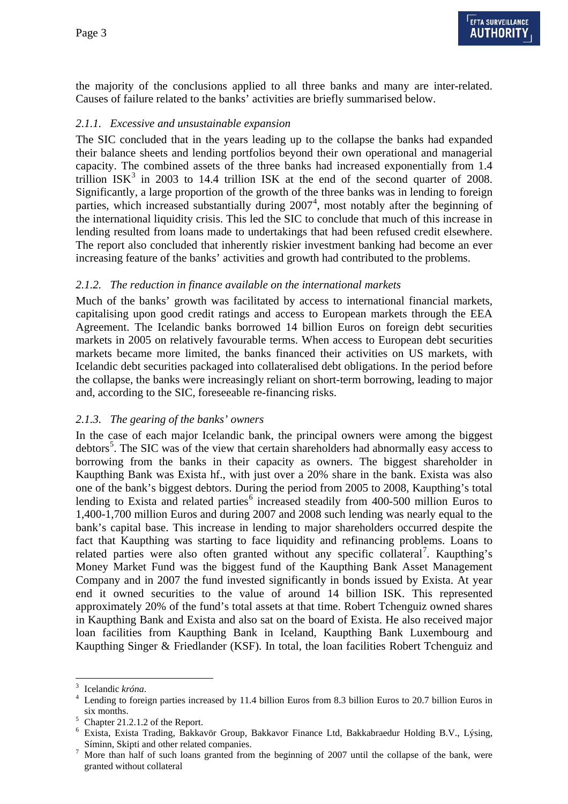the majority of the conclusions applied to all three banks and many are inter-related. Causes of failure related to the banks' activities are briefly summarised below.

### *2.1.1. Excessive and unsustainable expansion*

The SIC concluded that in the years leading up to the collapse the banks had expanded their balance sheets and lending portfolios beyond their own operational and managerial capacity. The combined assets of the three banks had increased exponentially from 1.4 trillion  $ISK<sup>3</sup>$  $ISK<sup>3</sup>$  $ISK<sup>3</sup>$  in 2003 to 14.4 trillion ISK at the end of the second quarter of 2008. Significantly, a large proportion of the growth of the three banks was in lending to foreign parties, which increased substantially during 2007<sup>[4](#page-2-1)</sup>, most notably after the beginning of the international liquidity crisis. This led the SIC to conclude that much of this increase in lending resulted from loans made to undertakings that had been refused credit elsewhere. The report also concluded that inherently riskier investment banking had become an ever increasing feature of the banks' activities and growth had contributed to the problems.

### *2.1.2. The reduction in finance available on the international markets*

Much of the banks' growth was facilitated by access to international financial markets, capitalising upon good credit ratings and access to European markets through the EEA Agreement. The Icelandic banks borrowed 14 billion Euros on foreign debt securities markets in 2005 on relatively favourable terms. When access to European debt securities markets became more limited, the banks financed their activities on US markets, with Icelandic debt securities packaged into collateralised debt obligations. In the period before the collapse, the banks were increasingly reliant on short-term borrowing, leading to major and, according to the SIC, foreseeable re-financing risks.

#### *2.1.3. The gearing of the banks' owners*

In the case of each major Icelandic bank, the principal owners were among the biggest debtors<sup>[5](#page-2-2)</sup>. The SIC was of the view that certain shareholders had abnormally easy access to borrowing from the banks in their capacity as owners. The biggest shareholder in Kaupthing Bank was Exista hf., with just over a 20% share in the bank. Exista was also one of the bank's biggest debtors. During the period from 2005 to 2008, Kaupthing's total lending to Exista and related parties $<sup>6</sup>$  $<sup>6</sup>$  $<sup>6</sup>$  increased steadily from 400-500 million Euros to</sup> 1,400-1,700 million Euros and during 2007 and 2008 such lending was nearly equal to the bank's capital base. This increase in lending to major shareholders occurred despite the fact that Kaupthing was starting to face liquidity and refinancing problems. Loans to related parties were also often granted without any specific collateral<sup>[7](#page-2-4)</sup>. Kaupthing's Money Market Fund was the biggest fund of the Kaupthing Bank Asset Management Company and in 2007 the fund invested significantly in bonds issued by Exista. At year end it owned securities to the value of around 14 billion ISK. This represented approximately 20% of the fund's total assets at that time. Robert Tchenguiz owned shares in Kaupthing Bank and Exista and also sat on the board of Exista. He also received major loan facilities from Kaupthing Bank in Iceland, Kaupthing Bank Luxembourg and Kaupthing Singer & Friedlander (KSF). In total, the loan facilities Robert Tchenguiz and

<span id="page-2-0"></span> $\overline{a}$ 3  $\frac{3}{4}$  Icelandic *króna*.

<span id="page-2-1"></span>Lending to foreign parties increased by 11.4 billion Euros from 8.3 billion Euros to 20.7 billion Euros in six months.<br>  $5$  Chapter 21.2.1.2 of the Report.

<span id="page-2-2"></span>

<span id="page-2-3"></span><sup>&</sup>lt;sup>6</sup> Exista, Exista Trading, Bakkavör Group, Bakkavor Finance Ltd, Bakkabraedur Holding B.V., Lýsing, Síminn, Skipti and other related companies.

<span id="page-2-4"></span> $\frac{1}{10}$  More than half of such loans granted from the beginning of 2007 until the collapse of the bank, were granted without collateral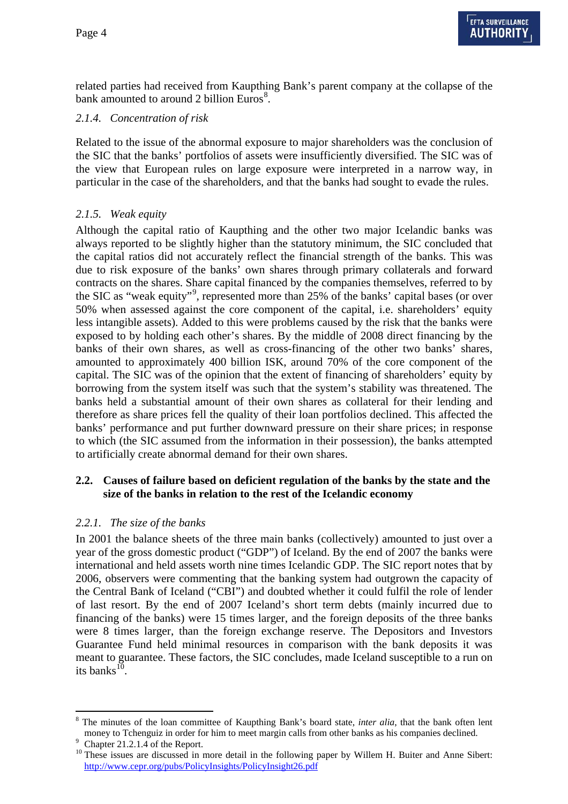related parties had received from Kaupthing Bank's parent company at the collapse of the bank amounted to around 2 billion Euros $8$ .

### *2.1.4. Concentration of risk*

Related to the issue of the abnormal exposure to major shareholders was the conclusion of the SIC that the banks' portfolios of assets were insufficiently diversified. The SIC was of the view that European rules on large exposure were interpreted in a narrow way, in particular in the case of the shareholders, and that the banks had sought to evade the rules.

## *2.1.5. Weak equity*

Although the capital ratio of Kaupthing and the other two major Icelandic banks was always reported to be slightly higher than the statutory minimum, the SIC concluded that the capital ratios did not accurately reflect the financial strength of the banks. This was due to risk exposure of the banks' own shares through primary collaterals and forward contracts on the shares. Share capital financed by the companies themselves, referred to by the SIC as "weak equity"<sup>[9](#page-3-1)</sup>, represented more than 25% of the banks' capital bases (or over 50% when assessed against the core component of the capital, i.e. shareholders' equity less intangible assets). Added to this were problems caused by the risk that the banks were exposed to by holding each other's shares. By the middle of 2008 direct financing by the banks of their own shares, as well as cross-financing of the other two banks' shares, amounted to approximately 400 billion ISK, around 70% of the core component of the capital. The SIC was of the opinion that the extent of financing of shareholders' equity by borrowing from the system itself was such that the system's stability was threatened. The banks held a substantial amount of their own shares as collateral for their lending and therefore as share prices fell the quality of their loan portfolios declined. This affected the banks' performance and put further downward pressure on their share prices; in response to which (the SIC assumed from the information in their possession), the banks attempted to artificially create abnormal demand for their own shares.

#### **2.2. Causes of failure based on deficient regulation of the banks by the state and the size of the banks in relation to the rest of the Icelandic economy**

#### *2.2.1. The size of the banks*

In 2001 the balance sheets of the three main banks (collectively) amounted to just over a year of the gross domestic product ("GDP") of Iceland. By the end of 2007 the banks were international and held assets worth nine times Icelandic GDP. The SIC report notes that by 2006, observers were commenting that the banking system had outgrown the capacity of the Central Bank of Iceland ("CBI") and doubted whether it could fulfil the role of lender of last resort. By the end of 2007 Iceland's short term debts (mainly incurred due to financing of the banks) were 15 times larger, and the foreign deposits of the three banks were 8 times larger, than the foreign exchange reserve. The Depositors and Investors Guarantee Fund held minimal resources in comparison with the bank deposits it was meant to guarantee. These factors, the SIC concludes, made Iceland susceptible to a run on its banks $^{10}$  $^{10}$  $^{10}$ .

<span id="page-3-0"></span> $\overline{a}$ <sup>8</sup> The minutes of the loan committee of Kaupthing Bank's board state, *inter alia*, that the bank often lent money to Tchenguiz in order for him to meet margin calls from other banks as his companies declined.

<span id="page-3-1"></span> $\frac{6}{9}$  Chapter 21.2.1.4 of the Report.

<span id="page-3-2"></span><sup>&</sup>lt;sup>10</sup> These issues are discussed in more detail in the following paper by Willem H. Buiter and Anne Sibert: http://www.cepr.org/pubs/PolicyInsights/PolicyInsight26.pdf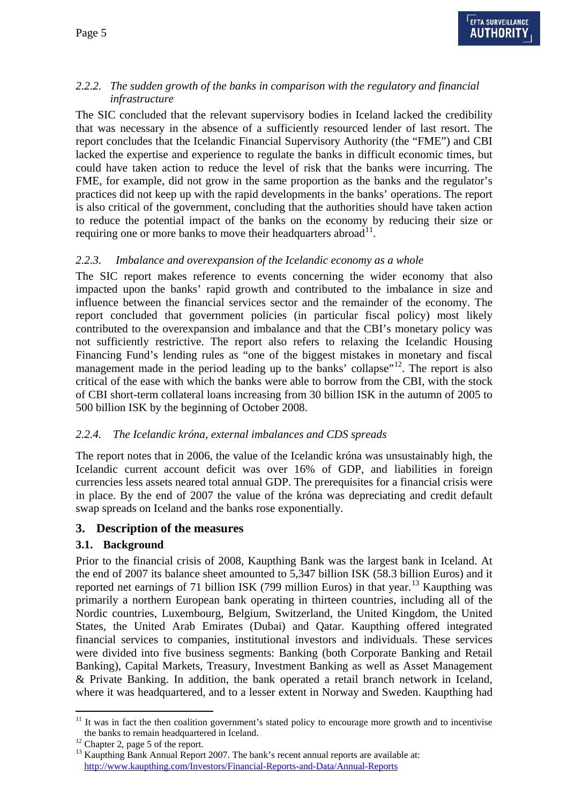## *2.2.2. The sudden growth of the banks in comparison with the regulatory and financial infrastructure*

The SIC concluded that the relevant supervisory bodies in Iceland lacked the credibility that was necessary in the absence of a sufficiently resourced lender of last resort. The report concludes that the Icelandic Financial Supervisory Authority (the "FME") and CBI lacked the expertise and experience to regulate the banks in difficult economic times, but could have taken action to reduce the level of risk that the banks were incurring. The FME, for example, did not grow in the same proportion as the banks and the regulator's practices did not keep up with the rapid developments in the banks' operations. The report is also critical of the government, concluding that the authorities should have taken action to reduce the potential impact of the banks on the economy by reducing their size or requiring one or more banks to move their headquarters abroad $^{11}$ .

### *2.2.3. Imbalance and overexpansion of the Icelandic economy as a whole*

The SIC report makes reference to events concerning the wider economy that also impacted upon the banks' rapid growth and contributed to the imbalance in size and influence between the financial services sector and the remainder of the economy. The report concluded that government policies (in particular fiscal policy) most likely contributed to the overexpansion and imbalance and that the CBI's monetary policy was not sufficiently restrictive. The report also refers to relaxing the Icelandic Housing Financing Fund's lending rules as "one of the biggest mistakes in monetary and fiscal management made in the period leading up to the banks' collapse"<sup>[12](#page-4-1)</sup>. The report is also critical of the ease with which the banks were able to borrow from the CBI, with the stock of CBI short-term collateral loans increasing from 30 billion ISK in the autumn of 2005 to 500 billion ISK by the beginning of October 2008.

## *2.2.4. The Icelandic króna, external imbalances and CDS spreads*

The report notes that in 2006, the value of the Icelandic króna was unsustainably high, the Icelandic current account deficit was over 16% of GDP, and liabilities in foreign currencies less assets neared total annual GDP. The prerequisites for a financial crisis were in place. By the end of 2007 the value of the króna was depreciating and credit default swap spreads on Iceland and the banks rose exponentially.

## **3. Description of the measures**

#### **3.1. Background**

Prior to the financial crisis of 2008, Kaupthing Bank was the largest bank in Iceland. At the end of 2007 its balance sheet amounted to 5,347 billion ISK (58.3 billion Euros) and it reported net earnings of 71 billion ISK (799 million Euros) in that year.<sup>[13](#page-4-2)</sup> Kaupthing was primarily a northern European bank operating in thirteen countries, including all of the Nordic countries, Luxembourg, Belgium, Switzerland, the United Kingdom, the United States, the United Arab Emirates (Dubai) and Qatar. Kaupthing offered integrated financial services to companies, institutional investors and individuals. These services were divided into five business segments: Banking (both Corporate Banking and Retail Banking), Capital Markets, Treasury, Investment Banking as well as Asset Management & Private Banking. In addition, the bank operated a retail branch network in Iceland, where it was headquartered, and to a lesser extent in Norway and Sweden. Kaupthing had

 $\overline{a}$ 

<span id="page-4-0"></span><sup>&</sup>lt;sup>11</sup> It was in fact the then coalition government's stated policy to encourage more growth and to incentivise the banks to remain headquartered in Iceland.<br><sup>12</sup> Chapter 2, page 5 of the report.

<span id="page-4-2"></span><span id="page-4-1"></span><sup>&</sup>lt;sup>13</sup> Kaupthing Bank Annual Report 2007. The bank's recent annual reports are available at: http://www.kaupthing.com/Investors/Financial-Reports-and-Data/Annual-Reports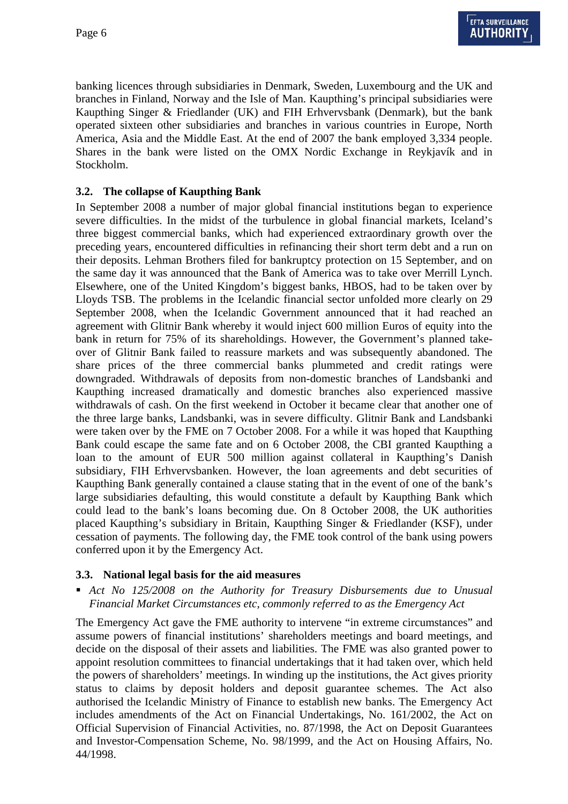banking licences through subsidiaries in Denmark, Sweden, Luxembourg and the UK and branches in Finland, Norway and the Isle of Man. Kaupthing's principal subsidiaries were Kaupthing Singer & Friedlander (UK) and FIH Erhvervsbank (Denmark), but the bank operated sixteen other subsidiaries and branches in various countries in Europe, North America, Asia and the Middle East. At the end of 2007 the bank employed 3,334 people. Shares in the bank were listed on the OMX Nordic Exchange in Reykjavík and in Stockholm.

#### **3.2. The collapse of Kaupthing Bank**

In September 2008 a number of major global financial institutions began to experience severe difficulties. In the midst of the turbulence in global financial markets, Iceland's three biggest commercial banks, which had experienced extraordinary growth over the preceding years, encountered difficulties in refinancing their short term debt and a run on their deposits. Lehman Brothers filed for bankruptcy protection on 15 September, and on the same day it was announced that the Bank of America was to take over Merrill Lynch. Elsewhere, one of the United Kingdom's biggest banks, HBOS, had to be taken over by Lloyds TSB. The problems in the Icelandic financial sector unfolded more clearly on 29 September 2008, when the Icelandic Government announced that it had reached an agreement with Glitnir Bank whereby it would inject 600 million Euros of equity into the bank in return for 75% of its shareholdings. However, the Government's planned takeover of Glitnir Bank failed to reassure markets and was subsequently abandoned. The share prices of the three commercial banks plummeted and credit ratings were downgraded. Withdrawals of deposits from non-domestic branches of Landsbanki and Kaupthing increased dramatically and domestic branches also experienced massive withdrawals of cash. On the first weekend in October it became clear that another one of the three large banks, Landsbanki, was in severe difficulty. Glitnir Bank and Landsbanki were taken over by the FME on 7 October 2008. For a while it was hoped that Kaupthing Bank could escape the same fate and on 6 October 2008, the CBI granted Kaupthing a loan to the amount of EUR 500 million against collateral in Kaupthing's Danish subsidiary, FIH Erhvervsbanken. However, the loan agreements and debt securities of Kaupthing Bank generally contained a clause stating that in the event of one of the bank's large subsidiaries defaulting, this would constitute a default by Kaupthing Bank which could lead to the bank's loans becoming due. On 8 October 2008, the UK authorities placed Kaupthing's subsidiary in Britain, Kaupthing Singer & Friedlander (KSF), under cessation of payments. The following day, the FME took control of the bank using powers conferred upon it by the Emergency Act.

#### **3.3. National legal basis for the aid measures**

 *Act No 125/2008 on the Authority for Treasury Disbursements due to Unusual Financial Market Circumstances etc, commonly referred to as the Emergency Act* 

The Emergency Act gave the FME authority to intervene "in extreme circumstances" and assume powers of financial institutions' shareholders meetings and board meetings, and decide on the disposal of their assets and liabilities. The FME was also granted power to appoint resolution committees to financial undertakings that it had taken over, which held the powers of shareholders' meetings. In winding up the institutions, the Act gives priority status to claims by deposit holders and deposit guarantee schemes. The Act also authorised the Icelandic Ministry of Finance to establish new banks. The Emergency Act includes amendments of the Act on Financial Undertakings, No. 161/2002, the Act on Official Supervision of Financial Activities, no. 87/1998, the Act on Deposit Guarantees and Investor-Compensation Scheme, No. 98/1999, and the Act on Housing Affairs, No. 44/1998.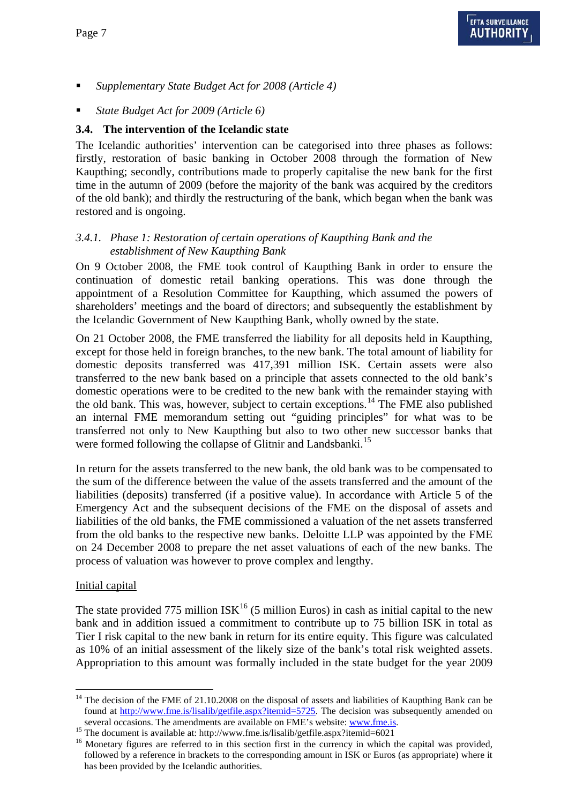- *Supplementary State Budget Act for 2008 (Article 4)*
- *State Budget Act for 2009 (Article 6)*

#### **3.4. The intervention of the Icelandic state**

The Icelandic authorities' intervention can be categorised into three phases as follows: firstly, restoration of basic banking in October 2008 through the formation of New Kaupthing; secondly, contributions made to properly capitalise the new bank for the first time in the autumn of 2009 (before the majority of the bank was acquired by the creditors of the old bank); and thirdly the restructuring of the bank, which began when the bank was restored and is ongoing.

#### *3.4.1. Phase 1: Restoration of certain operations of Kaupthing Bank and the establishment of New Kaupthing Bank*

On 9 October 2008, the FME took control of Kaupthing Bank in order to ensure the continuation of domestic retail banking operations. This was done through the appointment of a Resolution Committee for Kaupthing, which assumed the powers of shareholders' meetings and the board of directors; and subsequently the establishment by the Icelandic Government of New Kaupthing Bank, wholly owned by the state.

On 21 October 2008, the FME transferred the liability for all deposits held in Kaupthing, except for those held in foreign branches, to the new bank. The total amount of liability for domestic deposits transferred was 417,391 million ISK. Certain assets were also transferred to the new bank based on a principle that assets connected to the old bank's domestic operations were to be credited to the new bank with the remainder staying with the old bank. This was, however, subject to certain exceptions.<sup>14</sup> The FME also published an internal FME memorandum setting out "guiding principles" for what was to be transferred not only to New Kaupthing but also to two other new successor banks that were formed following the collapse of Glitnir and Landsbanki.<sup>15</sup>

In return for the assets transferred to the new bank, the old bank was to be compensated to the sum of the difference between the value of the assets transferred and the amount of the liabilities (deposits) transferred (if a positive value). In accordance with Article 5 of the Emergency Act and the subsequent decisions of the FME on the disposal of assets and liabilities of the old banks, the FME commissioned a valuation of the net assets transferred from the old banks to the respective new banks. Deloitte LLP was appointed by the FME on 24 December 2008 to prepare the net asset valuations of each of the new banks. The process of valuation was however to prove complex and lengthy.

#### Initial capital

 $\overline{a}$ 

The state provided 775 million  $ISK<sup>16</sup>$  $ISK<sup>16</sup>$  $ISK<sup>16</sup>$  (5 million Euros) in cash as initial capital to the new bank and in addition issued a commitment to contribute up to 75 billion ISK in total as Tier I risk capital to the new bank in return for its entire equity. This figure was calculated as 10% of an initial assessment of the likely size of the bank's total risk weighted assets. Appropriation to this amount was formally included in the state budget for the year 2009

<span id="page-6-0"></span> $14$  The decision of the FME of 21.10.2008 on the disposal of assets and liabilities of Kaupthing Bank can be found at http://www.fme.is/lisalib/getfile.aspx?itemid=5725. The decision was subsequently amended on several occasions. The amendments are available on FME's website: www.fme.is.<br><sup>15</sup> The document is available at: http://www.fme.is/lisalib/getfile.aspx?itemid=6021<br><sup>16</sup> Monetary figures are referred to in this section firs

<span id="page-6-1"></span>

<span id="page-6-2"></span>followed by a reference in brackets to the corresponding amount in ISK or Euros (as appropriate) where it has been provided by the Icelandic authorities.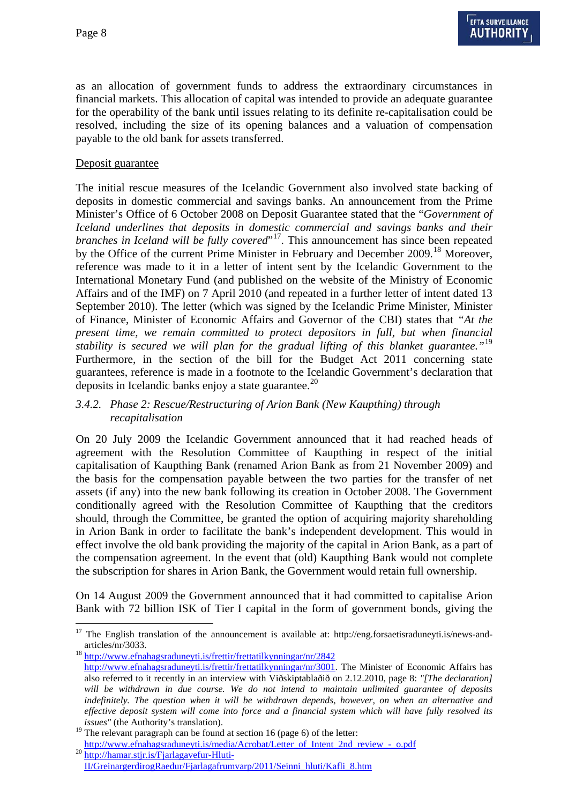$\overline{a}$ 

as an allocation of government funds to address the extraordinary circumstances in financial markets. This allocation of capital was intended to provide an adequate guarantee for the operability of the bank until issues relating to its definite re-capitalisation could be resolved, including the size of its opening balances and a valuation of compensation payable to the old bank for assets transferred.

#### Deposit guarantee

The initial rescue measures of the Icelandic Government also involved state backing of deposits in domestic commercial and savings banks. An announcement from the Prime Minister's Office of 6 October 2008 on Deposit Guarantee stated that the "*Government of Iceland underlines that deposits in domestic commercial and savings banks and their branches in Iceland will be fully covered*"<sup>[17](#page-7-0)</sup>. This announcement has since been repeated by the Office of the current Prime Minister in February and December 2009.<sup>[18](#page-7-1)</sup> Moreover, reference was made to it in a letter of intent sent by the Icelandic Government to the International Monetary Fund (and published on the website of the Ministry of Economic Affairs and of the IMF) on 7 April 2010 (and repeated in a further letter of intent dated 13 September 2010). The letter (which was signed by the Icelandic Prime Minister, Minister of Finance, Minister of Economic Affairs and Governor of the CBI) states that *"At the present time, we remain committed to protect depositors in full, but when financial stability is secured we will plan for the gradual lifting of this blanket guarantee."*[19](#page-7-2) Furthermore, in the section of the bill for the Budget Act 2011 concerning state guarantees, reference is made in a footnote to the Icelandic Government's declaration that deposits in Icelandic banks enjoy a state guarantee.<sup>[20](#page-7-3)</sup>

#### *3.4.2. Phase 2: Rescue/Restructuring of Arion Bank (New Kaupthing) through recapitalisation*

On 20 July 2009 the Icelandic Government announced that it had reached heads of agreement with the Resolution Committee of Kaupthing in respect of the initial capitalisation of Kaupthing Bank (renamed Arion Bank as from 21 November 2009) and the basis for the compensation payable between the two parties for the transfer of net assets (if any) into the new bank following its creation in October 2008. The Government conditionally agreed with the Resolution Committee of Kaupthing that the creditors should, through the Committee, be granted the option of acquiring majority shareholding in Arion Bank in order to facilitate the bank's independent development. This would in effect involve the old bank providing the majority of the capital in Arion Bank, as a part of the compensation agreement. In the event that (old) Kaupthing Bank would not complete the subscription for shares in Arion Bank, the Government would retain full ownership.

On 14 August 2009 the Government announced that it had committed to capitalise Arion Bank with 72 billion ISK of Tier I capital in the form of government bonds, giving the

<span id="page-7-0"></span><sup>17</sup> The English translation of the announcement is available at: http://eng.forsaetisraduneyti.is/news-andarticles/nr/3033.<br>http://www.efnahagsraduneyti.is/frettir/frettatilkynningar/nr/2842

<span id="page-7-1"></span>http://www.efnahagsraduneyti.is/frettir/frettatilkynningar/nr/3001. The Minister of Economic Affairs has also referred to it recently in an interview with Viðskiptablaðið on 2.12.2010, page 8: *"[The declaration] will be withdrawn in due course. We do not intend to maintain unlimited guarantee of deposits indefinitely. The question when it will be withdrawn depends, however, on when an alternative and effective deposit system will come into force and a financial system which will have fully resolved its issues"* (the Authority's translation).

<span id="page-7-2"></span><sup>&</sup>lt;sup>19</sup> The relevant paragraph can be found at section 16 (page 6) of the letter:

<span id="page-7-3"></span> $^{20}$ http://www.efnahagsraduneyti.is/media/Acrobat/Letter\_of\_Intent\_2nd\_review\_-\_o.pdf  $^{20}$ http://hamar.stjr.is/Fjarlagavefur-Hluti-

II/GreinargerdirogRaedur/Fjarlagafrumvarp/2011/Seinni\_hluti/Kafli\_8.htm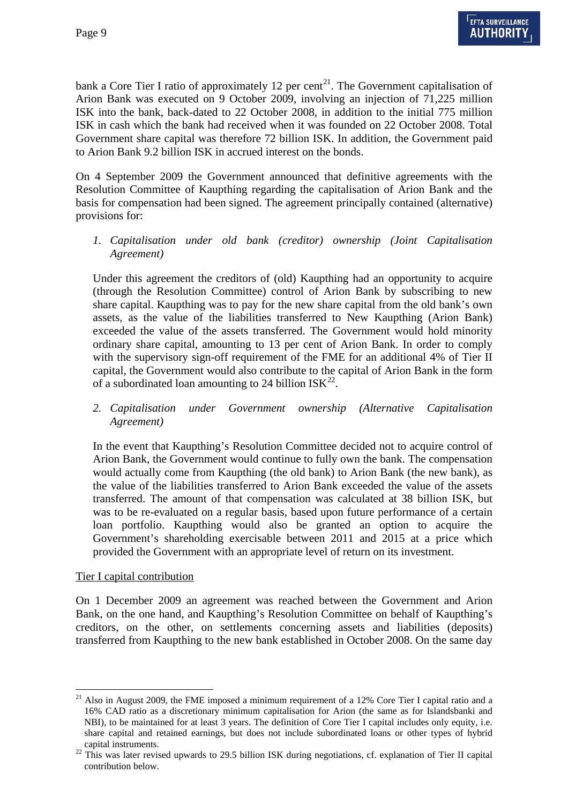bank a Core Tier I ratio of approximately 12 per cent<sup>21</sup>. The Government capitalisation of Arion Bank was executed on 9 October 2009, involving an injection of 71,225 million ISK into the bank, back-dated to 22 October 2008, in addition to the initial 775 million ISK in cash which the bank had received when it was founded on 22 October 2008. Total Government share capital was therefore 72 billion ISK. In addition, the Government paid to Arion Bank 9.2 billion ISK in accrued interest on the bonds.

On 4 September 2009 the Government announced that definitive agreements with the Resolution Committee of Kaupthing regarding the capitalisation of Arion Bank and the basis for compensation had been signed. The agreement principally contained (alternative) provisions for:

*1. Capitalisation under old bank (creditor) ownership (Joint Capitalisation Agreement)* 

Under this agreement the creditors of (old) Kaupthing had an opportunity to acquire (through the Resolution Committee) control of Arion Bank by subscribing to new share capital. Kaupthing was to pay for the new share capital from the old bank's own assets, as the value of the liabilities transferred to New Kaupthing (Arion Bank) exceeded the value of the assets transferred. The Government would hold minority ordinary share capital, amounting to 13 per cent of Arion Bank. In order to comply with the supervisory sign-off requirement of the FME for an additional 4% of Tier II capital, the Government would also contribute to the capital of Arion Bank in the form of a subordinated loan amounting to 24 billion  $ISK<sup>22</sup>$  $ISK<sup>22</sup>$  $ISK<sup>22</sup>$ .

*2. Capitalisation under Government ownership (Alternative Capitalisation Agreement)* 

In the event that Kaupthing's Resolution Committee decided not to acquire control of Arion Bank, the Government would continue to fully own the bank. The compensation would actually come from Kaupthing (the old bank) to Arion Bank (the new bank), as the value of the liabilities transferred to Arion Bank exceeded the value of the assets transferred. The amount of that compensation was calculated at 38 billion ISK, but was to be re-evaluated on a regular basis, based upon future performance of a certain loan portfolio. Kaupthing would also be granted an option to acquire the Government's shareholding exercisable between 2011 and 2015 at a price which provided the Government with an appropriate level of return on its investment.

#### Tier I capital contribution

 $\overline{a}$ 

On 1 December 2009 an agreement was reached between the Government and Arion Bank, on the one hand, and Kaupthing's Resolution Committee on behalf of Kaupthing's creditors, on the other, on settlements concerning assets and liabilities (deposits) transferred from Kaupthing to the new bank established in October 2008. On the same day

<span id="page-8-0"></span> $21$  Also in August 2009, the FME imposed a minimum requirement of a 12% Core Tier I capital ratio and a 16% CAD ratio as a discretionary minimum capitalisation for Arion (the same as for Islandsbanki and NBI), to be maintained for at least 3 years. The definition of Core Tier I capital includes only equity, i.e. share capital and retained earnings, but does not include subordinated loans or other types of hybrid

<span id="page-8-1"></span>capital instruments.<br><sup>22</sup> This was later revised upwards to 29.5 billion ISK during negotiations, cf. explanation of Tier II capital contribution below.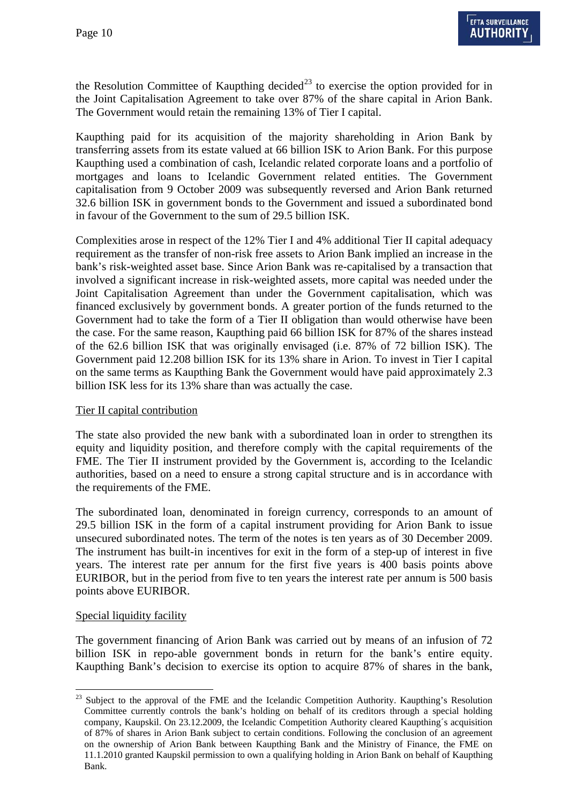the Resolution Committee of Kaupthing decided<sup>23</sup> to exercise the option provided for in the Joint Capitalisation Agreement to take over 87% of the share capital in Arion Bank. The Government would retain the remaining 13% of Tier I capital.

Kaupthing paid for its acquisition of the majority shareholding in Arion Bank by transferring assets from its estate valued at 66 billion ISK to Arion Bank. For this purpose Kaupthing used a combination of cash, Icelandic related corporate loans and a portfolio of mortgages and loans to Icelandic Government related entities. The Government capitalisation from 9 October 2009 was subsequently reversed and Arion Bank returned 32.6 billion ISK in government bonds to the Government and issued a subordinated bond in favour of the Government to the sum of 29.5 billion ISK.

Complexities arose in respect of the 12% Tier I and 4% additional Tier II capital adequacy requirement as the transfer of non-risk free assets to Arion Bank implied an increase in the bank's risk-weighted asset base. Since Arion Bank was re-capitalised by a transaction that involved a significant increase in risk-weighted assets, more capital was needed under the Joint Capitalisation Agreement than under the Government capitalisation, which was financed exclusively by government bonds. A greater portion of the funds returned to the Government had to take the form of a Tier II obligation than would otherwise have been the case. For the same reason, Kaupthing paid 66 billion ISK for 87% of the shares instead of the 62.6 billion ISK that was originally envisaged (i.e. 87% of 72 billion ISK). The Government paid 12.208 billion ISK for its 13% share in Arion. To invest in Tier I capital on the same terms as Kaupthing Bank the Government would have paid approximately 2.3 billion ISK less for its 13% share than was actually the case.

#### Tier II capital contribution

The state also provided the new bank with a subordinated loan in order to strengthen its equity and liquidity position, and therefore comply with the capital requirements of the FME. The Tier II instrument provided by the Government is, according to the Icelandic authorities, based on a need to ensure a strong capital structure and is in accordance with the requirements of the FME.

The subordinated loan, denominated in foreign currency, corresponds to an amount of 29.5 billion ISK in the form of a capital instrument providing for Arion Bank to issue unsecured subordinated notes. The term of the notes is ten years as of 30 December 2009. The instrument has built-in incentives for exit in the form of a step-up of interest in five years. The interest rate per annum for the first five years is 400 basis points above EURIBOR, but in the period from five to ten years the interest rate per annum is 500 basis points above EURIBOR.

#### Special liquidity facility

The government financing of Arion Bank was carried out by means of an infusion of 72 billion ISK in repo-able government bonds in return for the bank's entire equity. Kaupthing Bank's decision to exercise its option to acquire 87% of shares in the bank,

<span id="page-9-0"></span> $\overline{a}$ <sup>23</sup> Subject to the approval of the FME and the Icelandic Competition Authority. Kaupthing's Resolution Committee currently controls the bank's holding on behalf of its creditors through a special holding company, Kaupskil. On 23.12.2009, the Icelandic Competition Authority cleared Kaupthing´s acquisition of 87% of shares in Arion Bank subject to certain conditions. Following the conclusion of an agreement on the ownership of Arion Bank between Kaupthing Bank and the Ministry of Finance, the FME on 11.1.2010 granted Kaupskil permission to own a qualifying holding in Arion Bank on behalf of Kaupthing Bank.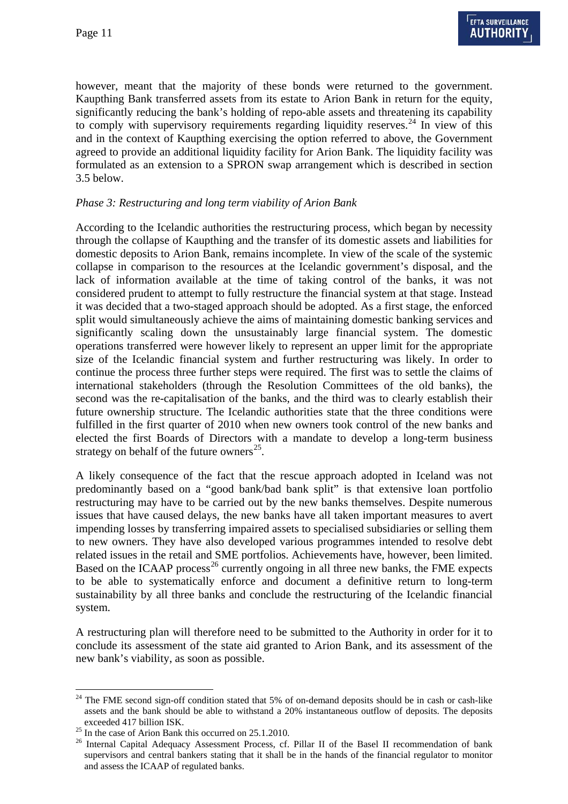however, meant that the majority of these bonds were returned to the government. Kaupthing Bank transferred assets from its estate to Arion Bank in return for the equity, significantly reducing the bank's holding of repo-able assets and threatening its capability to comply with supervisory requirements regarding liquidity reserves.<sup>24</sup> In view of this and in the context of Kaupthing exercising the option referred to above, the Government agreed to provide an additional liquidity facility for Arion Bank. The liquidity facility was formulated as an extension to a SPRON swap arrangement which is described in section 3.5 below.

#### *Phase 3: Restructuring and long term viability of Arion Bank*

According to the Icelandic authorities the restructuring process, which began by necessity through the collapse of Kaupthing and the transfer of its domestic assets and liabilities for domestic deposits to Arion Bank, remains incomplete. In view of the scale of the systemic collapse in comparison to the resources at the Icelandic government's disposal, and the lack of information available at the time of taking control of the banks, it was not considered prudent to attempt to fully restructure the financial system at that stage. Instead it was decided that a two-staged approach should be adopted. As a first stage, the enforced split would simultaneously achieve the aims of maintaining domestic banking services and significantly scaling down the unsustainably large financial system. The domestic operations transferred were however likely to represent an upper limit for the appropriate size of the Icelandic financial system and further restructuring was likely. In order to continue the process three further steps were required. The first was to settle the claims of international stakeholders (through the Resolution Committees of the old banks), the second was the re-capitalisation of the banks, and the third was to clearly establish their future ownership structure. The Icelandic authorities state that the three conditions were fulfilled in the first quarter of 2010 when new owners took control of the new banks and elected the first Boards of Directors with a mandate to develop a long-term business strategy on behalf of the future owners $^{25}$ .

A likely consequence of the fact that the rescue approach adopted in Iceland was not predominantly based on a "good bank/bad bank split" is that extensive loan portfolio restructuring may have to be carried out by the new banks themselves. Despite numerous issues that have caused delays, the new banks have all taken important measures to avert impending losses by transferring impaired assets to specialised subsidiaries or selling them to new owners. They have also developed various programmes intended to resolve debt related issues in the retail and SME portfolios. Achievements have, however, been limited. Based on the ICAAP process<sup>26</sup> currently ongoing in all three new banks, the FME expects to be able to systematically enforce and document a definitive return to long-term sustainability by all three banks and conclude the restructuring of the Icelandic financial system.

A restructuring plan will therefore need to be submitted to the Authority in order for it to conclude its assessment of the state aid granted to Arion Bank, and its assessment of the new bank's viability, as soon as possible.

<span id="page-10-0"></span> $\overline{a}$ <sup>24</sup> The FME second sign-off condition stated that 5% of on-demand deposits should be in cash or cash-like assets and the bank should be able to withstand a 20% instantaneous outflow of deposits. The deposits

<span id="page-10-1"></span> $^{25}$  In the case of Arion Bank this occurred on 25.1.2010.

<span id="page-10-2"></span><sup>&</sup>lt;sup>26</sup> Internal Capital Adequacy Assessment Process, cf. Pillar II of the Basel II recommendation of bank supervisors and central bankers stating that it shall be in the hands of the financial regulator to monitor and assess the ICAAP of regulated banks.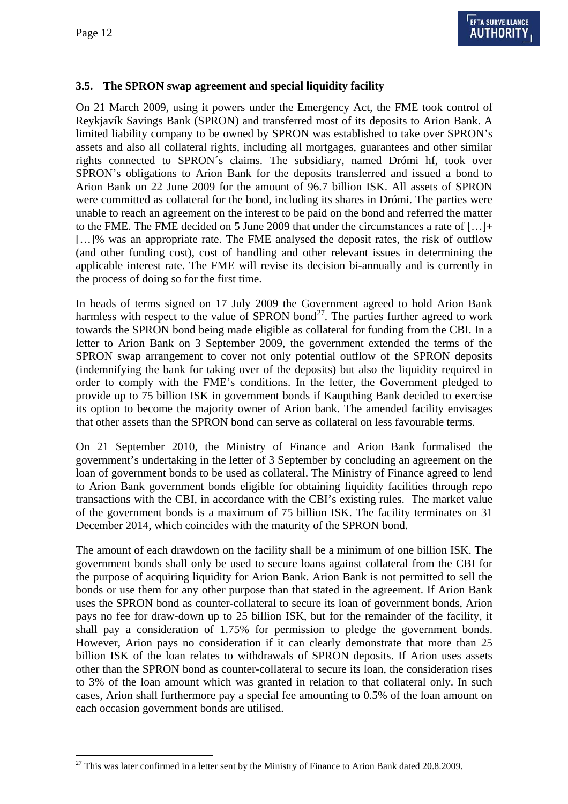# **3.5. The SPRON swap agreement and special liquidity facility**

On 21 March 2009, using it powers under the Emergency Act, the FME took control of Reykjavík Savings Bank (SPRON) and transferred most of its deposits to Arion Bank. A limited liability company to be owned by SPRON was established to take over SPRON's assets and also all collateral rights, including all mortgages, guarantees and other similar rights connected to SPRON´s claims. The subsidiary, named Drómi hf, took over SPRON's obligations to Arion Bank for the deposits transferred and issued a bond to Arion Bank on 22 June 2009 for the amount of 96.7 billion ISK. All assets of SPRON were committed as collateral for the bond, including its shares in Drómi. The parties were unable to reach an agreement on the interest to be paid on the bond and referred the matter to the FME. The FME decided on 5 June 2009 that under the circumstances a rate of […]+ […]% was an appropriate rate. The FME analysed the deposit rates, the risk of outflow (and other funding cost), cost of handling and other relevant issues in determining the applicable interest rate. The FME will revise its decision bi-annually and is currently in the process of doing so for the first time.

In heads of terms signed on 17 July 2009 the Government agreed to hold Arion Bank harmless with respect to the value of SPRON bond<sup>[27](#page-11-0)</sup>. The parties further agreed to work towards the SPRON bond being made eligible as collateral for funding from the CBI. In a letter to Arion Bank on 3 September 2009, the government extended the terms of the SPRON swap arrangement to cover not only potential outflow of the SPRON deposits (indemnifying the bank for taking over of the deposits) but also the liquidity required in order to comply with the FME's conditions. In the letter, the Government pledged to provide up to 75 billion ISK in government bonds if Kaupthing Bank decided to exercise its option to become the majority owner of Arion bank. The amended facility envisages that other assets than the SPRON bond can serve as collateral on less favourable terms.

On 21 September 2010, the Ministry of Finance and Arion Bank formalised the government's undertaking in the letter of 3 September by concluding an agreement on the loan of government bonds to be used as collateral. The Ministry of Finance agreed to lend to Arion Bank government bonds eligible for obtaining liquidity facilities through repo transactions with the CBI, in accordance with the CBI's existing rules. The market value of the government bonds is a maximum of 75 billion ISK. The facility terminates on 31 December 2014, which coincides with the maturity of the SPRON bond.

The amount of each drawdown on the facility shall be a minimum of one billion ISK. The government bonds shall only be used to secure loans against collateral from the CBI for the purpose of acquiring liquidity for Arion Bank. Arion Bank is not permitted to sell the bonds or use them for any other purpose than that stated in the agreement. If Arion Bank uses the SPRON bond as counter-collateral to secure its loan of government bonds, Arion pays no fee for draw-down up to 25 billion ISK, but for the remainder of the facility, it shall pay a consideration of 1.75% for permission to pledge the government bonds. However, Arion pays no consideration if it can clearly demonstrate that more than 25 billion ISK of the loan relates to withdrawals of SPRON deposits. If Arion uses assets other than the SPRON bond as counter-collateral to secure its loan, the consideration rises to 3% of the loan amount which was granted in relation to that collateral only. In such cases, Arion shall furthermore pay a special fee amounting to 0.5% of the loan amount on each occasion government bonds are utilised.

<span id="page-11-0"></span> $\overline{a}$  $27$  This was later confirmed in a letter sent by the Ministry of Finance to Arion Bank dated 20.8.2009.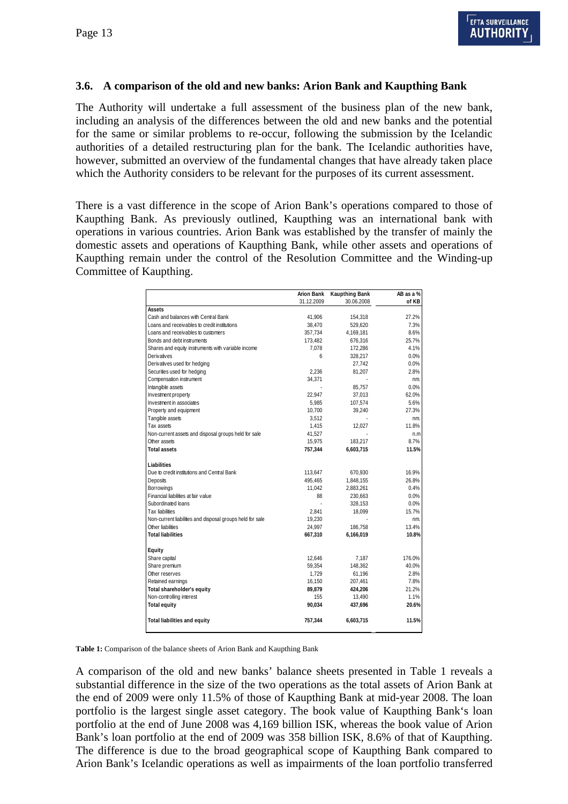#### **3.6. A comparison of the old and new banks: Arion Bank and Kaupthing Bank**

The Authority will undertake a full assessment of the business plan of the new bank, including an analysis of the differences between the old and new banks and the potential for the same or similar problems to re-occur, following the submission by the Icelandic authorities of a detailed restructuring plan for the bank. The Icelandic authorities have, however, submitted an overview of the fundamental changes that have already taken place which the Authority considers to be relevant for the purposes of its current assessment.

There is a vast difference in the scope of Arion Bank's operations compared to those of Kaupthing Bank. As previously outlined, Kaupthing was an international bank with operations in various countries. Arion Bank was established by the transfer of mainly the domestic assets and operations of Kaupthing Bank, while other assets and operations of Kaupthing remain under the control of the Resolution Committee and the Winding-up Committee of Kaupthing.

|                                                           | <b>Arion Bank</b> | <b>Kaupthing Bank</b><br>31.12.2009<br>30.06.2008 | AB as a %<br>of KB |
|-----------------------------------------------------------|-------------------|---------------------------------------------------|--------------------|
|                                                           |                   |                                                   |                    |
| Assets                                                    |                   |                                                   |                    |
| Cash and balances with Central Bank                       | 41,906            | 154,318                                           | 27.2%              |
| Loans and receivables to credit institutions              | 38,470            | 529,620                                           | 7.3%               |
| Loans and receivables to customers                        | 357,734           | 4,169,181                                         | 8.6%               |
| Bonds and debt instruments                                | 173,482           | 676,316                                           | 25.7%              |
| Shares and equity instruments with variable income        | 7.078             | 172,286                                           | 4.1%               |
| Derivatives                                               | 6                 | 328,217                                           | 0.0%               |
| Derivatives used for hedging                              |                   | 27,742                                            | 0.0%               |
| Securities used for hedging                               | 2,236             | 81,207                                            | 2.8%               |
| Compensation instrument                                   | 34,371            |                                                   | nm.                |
| Intangible assets                                         |                   | 85,757                                            | 0.0%               |
| Investment property                                       | 22.947            | 37,013                                            | 62.0%              |
| Investment in associates                                  | 5,985             | 107,574                                           | 5.6%               |
| Property and equipment                                    | 10,700            | 39,240                                            | 27.3%              |
| Tangible assets                                           | 3,512             |                                                   | nm.                |
| Tax assets                                                | 1,415             | 12,027                                            | 11.8%              |
| Non-current assets and disposal groups held for sale      | 41,527            |                                                   | n.m                |
| Other assets                                              | 15,975            | 183,217                                           | 8.7%               |
| Total assets                                              | 757,344           | 6,603,715                                         | 11.5%              |
| Liabilities                                               |                   |                                                   |                    |
| Due to credit institutions and Central Bank               | 113,647           | 670,930                                           | 16.9%              |
| Deposits                                                  | 495,465           | 1,848,155                                         | 26.8%              |
| Borrowings                                                | 11,042            | 2,883,261                                         | 0.4%               |
| Financial liabilities at fair value                       | 88                | 230,663                                           | 0.0%               |
| Subordinated loans                                        |                   | 328,153                                           | 0.0%               |
| Tax liabilities                                           | 2,841             | 18,099                                            | 15.7%              |
| Non-current liabilities and disposal groups held for sale | 19,230            |                                                   | nm.                |
| Other liabilities                                         | 24,997            | 186,758                                           | 13.4%              |
| <b>Total liabilities</b>                                  | 667,310           | 6,166,019                                         | 10.8%              |
| Equity                                                    |                   |                                                   |                    |
| Share capital                                             | 12,646            | 7,187                                             | 176.0%             |
| Share premium                                             | 59,354            | 148,362                                           | 40.0%              |
| Other reserves                                            | 1,729             | 61,196                                            | 2.8%               |
| Retained earnings                                         | 16,150            | 207,461                                           | 7.8%               |
| Total shareholder's equity                                | 89,879            | 424,206                                           | 21.2%              |
| Non-controlling interest                                  | 155               | 13,490                                            | 1.1%               |
| <b>Total equity</b>                                       | 90,034            | 437,696                                           | 20.6%              |
| <b>Total liabilities and equity</b>                       | 757,344           | 6,603,715                                         | 11.5%              |

**Table 1:** Comparison of the balance sheets of Arion Bank and Kaupthing Bank

A comparison of the old and new banks' balance sheets presented in Table 1 reveals a substantial difference in the size of the two operations as the total assets of Arion Bank at the end of 2009 were only 11.5% of those of Kaupthing Bank at mid-year 2008. The loan portfolio is the largest single asset category. The book value of Kaupthing Bank's loan portfolio at the end of June 2008 was 4,169 billion ISK, whereas the book value of Arion Bank's loan portfolio at the end of 2009 was 358 billion ISK, 8.6% of that of Kaupthing. The difference is due to the broad geographical scope of Kaupthing Bank compared to Arion Bank's Icelandic operations as well as impairments of the loan portfolio transferred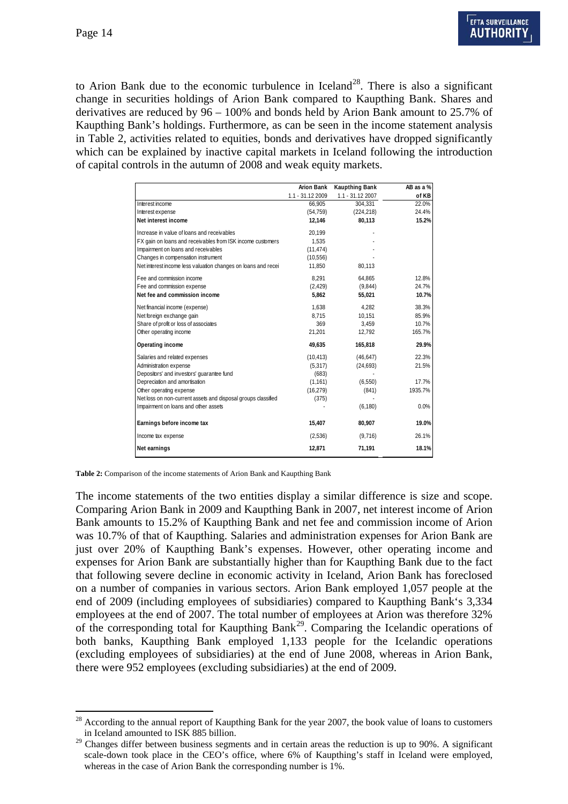to Arion Bank due to the economic turbulence in Iceland<sup>[28](#page-13-0)</sup>. There is also a significant change in securities holdings of Arion Bank compared to Kaupthing Bank. Shares and derivatives are reduced by 96 – 100% and bonds held by Arion Bank amount to 25.7% of Kaupthing Bank's holdings. Furthermore, as can be seen in the income statement analysis in Table 2, activities related to equities, bonds and derivatives have dropped significantly which can be explained by inactive capital markets in Iceland following the introduction of capital controls in the autumn of 2008 and weak equity markets.

|                                                               | <b>Arion Bank</b> | <b>Kaupthing Bank</b> | AB as a % |
|---------------------------------------------------------------|-------------------|-----------------------|-----------|
|                                                               | 1.1 - 31.12 2009  | $1.1 - 31.122007$     | of KB     |
| Interest income                                               | 66,905            | 304,331               | 22.0%     |
| Interest expense                                              | (54, 759)         | (224, 218)            | 24.4%     |
| Net interest income                                           | 12.146            | 80.113                | 15.2%     |
| Increase in value of loans and receivables                    | 20,199            |                       |           |
| FX gain on loans and receivables from ISK income customers    | 1.535             |                       |           |
| Impairment on loans and receivables                           | (11, 474)         |                       |           |
| Changes in compensation instrument                            | (10, 556)         |                       |           |
| Net interest income less valuation changes on loans and recei | 11.850            | 80,113                |           |
| Fee and commission income                                     | 8,291             | 64,865                | 12.8%     |
| Fee and commission expense                                    | (2,429)           | (9,844)               | 24.7%     |
| Net fee and commission income                                 | 5,862             | 55,021                | 10.7%     |
| Net financial income (expense)                                | 1.638             | 4,282                 | 38.3%     |
| Net foreign exchange gain                                     | 8.715             | 10.151                | 85.9%     |
| Share of profit or loss of associates                         | 369               | 3,459                 | 10.7%     |
| Other operating income                                        | 21,201            | 12,792                | 165.7%    |
| Operating income                                              | 49,635            | 165,818               | 29.9%     |
| Salaries and related expenses                                 | (10, 413)         | (46, 647)             | 22.3%     |
| Administration expense                                        | (5, 317)          | (24, 693)             | 21.5%     |
| Depositors' and investors' quarantee fund                     | (683)             |                       |           |
| Depreciation and amortisation                                 | (1, 161)          | (6, 550)              | 17.7%     |
| Other operating expense                                       | (16, 279)         | (841)                 | 1935.7%   |
| Net loss on non-current assets and disposal groups classified | (375)             |                       |           |
| Impairment on loans and other assets                          |                   | (6, 180)              | 0.0%      |
| Earnings before income tax                                    | 15,407            | 80,907                | 19.0%     |
| Income tax expense                                            | (2,536)           | (9,716)               | 26.1%     |
| Net earnings                                                  | 12,871            | 71,191                | 18.1%     |

**Table 2:** Comparison of the income statements of Arion Bank and Kaupthing Bank

The income statements of the two entities display a similar difference is size and scope. Comparing Arion Bank in 2009 and Kaupthing Bank in 2007, net interest income of Arion Bank amounts to 15.2% of Kaupthing Bank and net fee and commission income of Arion was 10.7% of that of Kaupthing. Salaries and administration expenses for Arion Bank are just over 20% of Kaupthing Bank's expenses. However, other operating income and expenses for Arion Bank are substantially higher than for Kaupthing Bank due to the fact that following severe decline in economic activity in Iceland, Arion Bank has foreclosed on a number of companies in various sectors. Arion Bank employed 1,057 people at the end of 2009 (including employees of subsidiaries) compared to Kaupthing Bank's 3,334 employees at the end of 2007. The total number of employees at Arion was therefore 32% of the corresponding total for Kaupthing Bank<sup>29</sup>. Comparing the Icelandic operations of both banks, Kaupthing Bank employed 1,133 people for the Icelandic operations (excluding employees of subsidiaries) at the end of June 2008, whereas in Arion Bank, there were 952 employees (excluding subsidiaries) at the end of 2009.

<span id="page-13-0"></span> $\overline{a}$ <sup>28</sup> According to the annual report of Kaupthing Bank for the year 2007, the book value of loans to customers in Iceland amounted to ISK 885 billion.

<span id="page-13-1"></span><sup>&</sup>lt;sup>29</sup> Changes differ between business segments and in certain areas the reduction is up to 90%. A significant scale-down took place in the CEO's office, where 6% of Kaupthing's staff in Iceland were employed, whereas in the case of Arion Bank the corresponding number is 1%.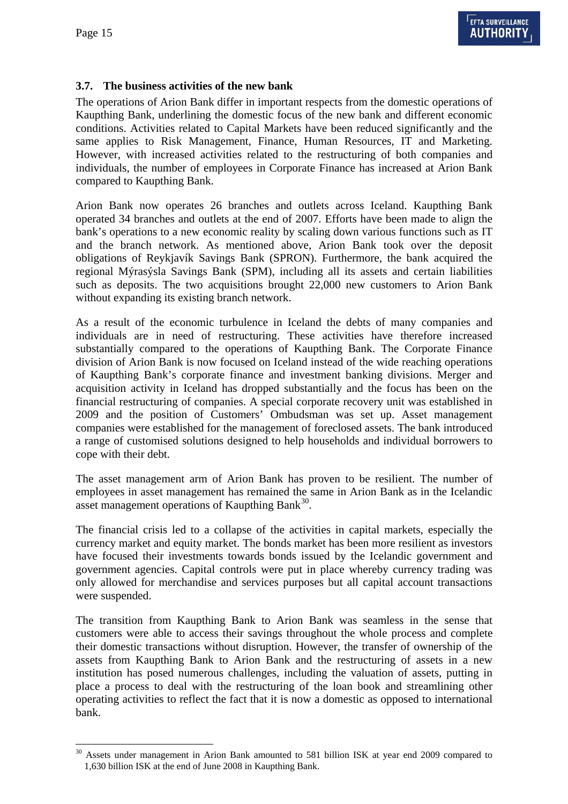# **3.7. The business activities of the new bank**

The operations of Arion Bank differ in important respects from the domestic operations of Kaupthing Bank, underlining the domestic focus of the new bank and different economic conditions. Activities related to Capital Markets have been reduced significantly and the same applies to Risk Management, Finance, Human Resources, IT and Marketing. However, with increased activities related to the restructuring of both companies and individuals, the number of employees in Corporate Finance has increased at Arion Bank compared to Kaupthing Bank.

Arion Bank now operates 26 branches and outlets across Iceland. Kaupthing Bank operated 34 branches and outlets at the end of 2007. Efforts have been made to align the bank's operations to a new economic reality by scaling down various functions such as IT and the branch network. As mentioned above, Arion Bank took over the deposit obligations of Reykjavík Savings Bank (SPRON). Furthermore, the bank acquired the regional Mýrasýsla Savings Bank (SPM), including all its assets and certain liabilities such as deposits. The two acquisitions brought 22,000 new customers to Arion Bank without expanding its existing branch network.

As a result of the economic turbulence in Iceland the debts of many companies and individuals are in need of restructuring. These activities have therefore increased substantially compared to the operations of Kaupthing Bank. The Corporate Finance division of Arion Bank is now focused on Iceland instead of the wide reaching operations of Kaupthing Bank's corporate finance and investment banking divisions. Merger and acquisition activity in Iceland has dropped substantially and the focus has been on the financial restructuring of companies. A special corporate recovery unit was established in 2009 and the position of Customers' Ombudsman was set up. Asset management companies were established for the management of foreclosed assets. The bank introduced a range of customised solutions designed to help households and individual borrowers to cope with their debt.

The asset management arm of Arion Bank has proven to be resilient. The number of employees in asset management has remained the same in Arion Bank as in the Icelandic asset management operations of Kaupthing Bank<sup>30</sup>.

The financial crisis led to a collapse of the activities in capital markets, especially the currency market and equity market. The bonds market has been more resilient as investors have focused their investments towards bonds issued by the Icelandic government and government agencies. Capital controls were put in place whereby currency trading was only allowed for merchandise and services purposes but all capital account transactions were suspended.

The transition from Kaupthing Bank to Arion Bank was seamless in the sense that customers were able to access their savings throughout the whole process and complete their domestic transactions without disruption. However, the transfer of ownership of the assets from Kaupthing Bank to Arion Bank and the restructuring of assets in a new institution has posed numerous challenges, including the valuation of assets, putting in place a process to deal with the restructuring of the loan book and streamlining other operating activities to reflect the fact that it is now a domestic as opposed to international bank.

<span id="page-14-0"></span> $\overline{a}$ <sup>30</sup> Assets under management in Arion Bank amounted to 581 billion ISK at year end 2009 compared to 1,630 billion ISK at the end of June 2008 in Kaupthing Bank.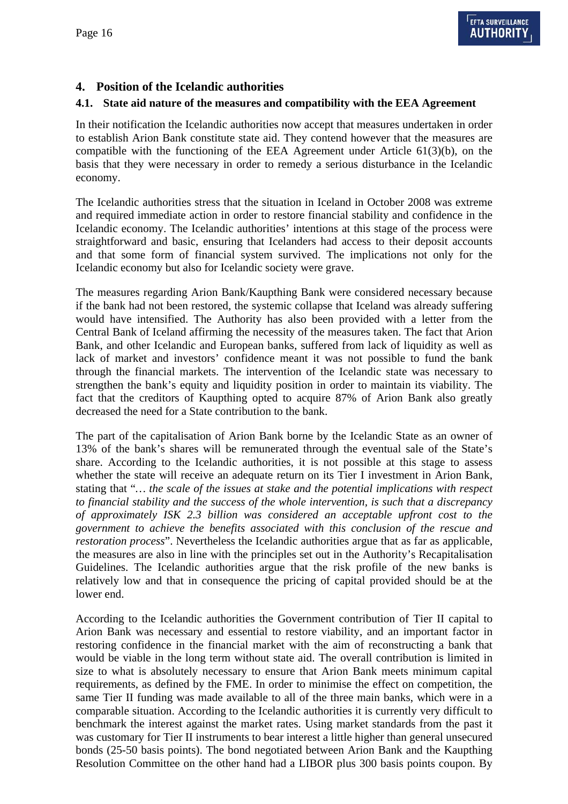## **4. Position of the Icelandic authorities**

### **4.1. State aid nature of the measures and compatibility with the EEA Agreement**

In their notification the Icelandic authorities now accept that measures undertaken in order to establish Arion Bank constitute state aid. They contend however that the measures are compatible with the functioning of the EEA Agreement under Article 61(3)(b), on the basis that they were necessary in order to remedy a serious disturbance in the Icelandic economy.

The Icelandic authorities stress that the situation in Iceland in October 2008 was extreme and required immediate action in order to restore financial stability and confidence in the Icelandic economy. The Icelandic authorities' intentions at this stage of the process were straightforward and basic, ensuring that Icelanders had access to their deposit accounts and that some form of financial system survived. The implications not only for the Icelandic economy but also for Icelandic society were grave.

The measures regarding Arion Bank/Kaupthing Bank were considered necessary because if the bank had not been restored, the systemic collapse that Iceland was already suffering would have intensified. The Authority has also been provided with a letter from the Central Bank of Iceland affirming the necessity of the measures taken. The fact that Arion Bank, and other Icelandic and European banks, suffered from lack of liquidity as well as lack of market and investors' confidence meant it was not possible to fund the bank through the financial markets. The intervention of the Icelandic state was necessary to strengthen the bank's equity and liquidity position in order to maintain its viability. The fact that the creditors of Kaupthing opted to acquire 87% of Arion Bank also greatly decreased the need for a State contribution to the bank.

The part of the capitalisation of Arion Bank borne by the Icelandic State as an owner of 13% of the bank's shares will be remunerated through the eventual sale of the State's share. According to the Icelandic authorities, it is not possible at this stage to assess whether the state will receive an adequate return on its Tier I investment in Arion Bank, stating that "*… the scale of the issues at stake and the potential implications with respect to financial stability and the success of the whole intervention, is such that a discrepancy of approximately ISK 2.3 billion was considered an acceptable upfront cost to the government to achieve the benefits associated with this conclusion of the rescue and restoration process*". Nevertheless the Icelandic authorities argue that as far as applicable, the measures are also in line with the principles set out in the Authority's Recapitalisation Guidelines. The Icelandic authorities argue that the risk profile of the new banks is relatively low and that in consequence the pricing of capital provided should be at the lower end.

According to the Icelandic authorities the Government contribution of Tier II capital to Arion Bank was necessary and essential to restore viability, and an important factor in restoring confidence in the financial market with the aim of reconstructing a bank that would be viable in the long term without state aid. The overall contribution is limited in size to what is absolutely necessary to ensure that Arion Bank meets minimum capital requirements, as defined by the FME. In order to minimise the effect on competition, the same Tier II funding was made available to all of the three main banks, which were in a comparable situation. According to the Icelandic authorities it is currently very difficult to benchmark the interest against the market rates. Using market standards from the past it was customary for Tier II instruments to bear interest a little higher than general unsecured bonds (25-50 basis points). The bond negotiated between Arion Bank and the Kaupthing Resolution Committee on the other hand had a LIBOR plus 300 basis points coupon. By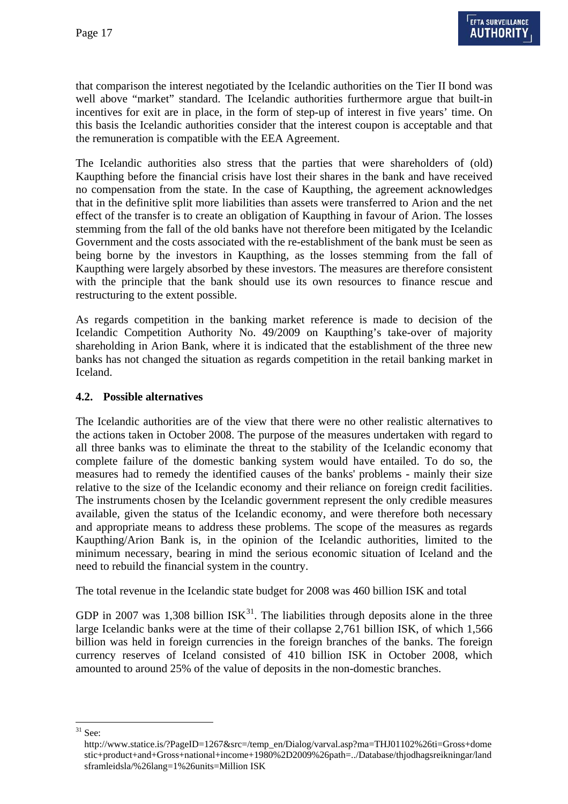that comparison the interest negotiated by the Icelandic authorities on the Tier II bond was well above "market" standard. The Icelandic authorities furthermore argue that built-in incentives for exit are in place, in the form of step-up of interest in five years' time. On this basis the Icelandic authorities consider that the interest coupon is acceptable and that the remuneration is compatible with the EEA Agreement.

The Icelandic authorities also stress that the parties that were shareholders of (old) Kaupthing before the financial crisis have lost their shares in the bank and have received no compensation from the state. In the case of Kaupthing, the agreement acknowledges that in the definitive split more liabilities than assets were transferred to Arion and the net effect of the transfer is to create an obligation of Kaupthing in favour of Arion. The losses stemming from the fall of the old banks have not therefore been mitigated by the Icelandic Government and the costs associated with the re-establishment of the bank must be seen as being borne by the investors in Kaupthing, as the losses stemming from the fall of Kaupthing were largely absorbed by these investors. The measures are therefore consistent with the principle that the bank should use its own resources to finance rescue and restructuring to the extent possible.

As regards competition in the banking market reference is made to decision of the Icelandic Competition Authority No. 49/2009 on Kaupthing's take-over of majority shareholding in Arion Bank, where it is indicated that the establishment of the three new banks has not changed the situation as regards competition in the retail banking market in Iceland.

#### **4.2. Possible alternatives**

The Icelandic authorities are of the view that there were no other realistic alternatives to the actions taken in October 2008. The purpose of the measures undertaken with regard to all three banks was to eliminate the threat to the stability of the Icelandic economy that complete failure of the domestic banking system would have entailed. To do so, the measures had to remedy the identified causes of the banks' problems - mainly their size relative to the size of the Icelandic economy and their reliance on foreign credit facilities. The instruments chosen by the Icelandic government represent the only credible measures available, given the status of the Icelandic economy, and were therefore both necessary and appropriate means to address these problems. The scope of the measures as regards Kaupthing/Arion Bank is, in the opinion of the Icelandic authorities, limited to the minimum necessary, bearing in mind the serious economic situation of Iceland and the need to rebuild the financial system in the country.

The total revenue in the Icelandic state budget for 2008 was 460 billion ISK and total

GDP in 2007 was 1,308 billion  $ISK^{31}$  $ISK^{31}$  $ISK^{31}$ . The liabilities through deposits alone in the three large Icelandic banks were at the time of their collapse 2,761 billion ISK, of which 1,566 billion was held in foreign currencies in the foreign branches of the banks. The foreign currency reserves of Iceland consisted of 410 billion ISK in October 2008, which amounted to around 25% of the value of deposits in the non-domestic branches.

 $\overline{a}$ 

<span id="page-16-0"></span> $31$  See:

http://www.statice.is/?PageID=1267&src=/temp\_en/Dialog/varval.asp?ma=THJ01102%26ti=Gross+dome stic+product+and+Gross+national+income+1980%2D2009%26path=../Database/thjodhagsreikningar/land sframleidsla/%26lang=1%26units=Million ISK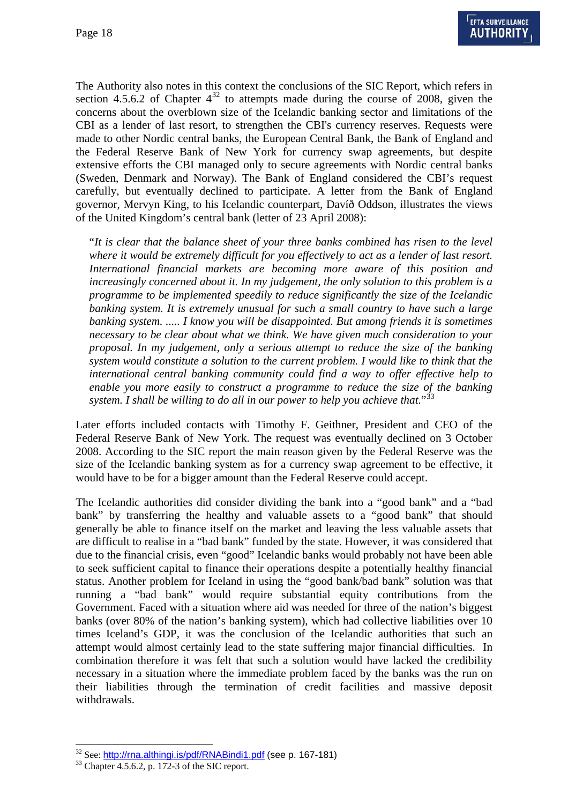The Authority also notes in this context the conclusions of the SIC Report, which refers in section 4.5.6.2 of Chapter  $4^{32}$  $4^{32}$  $4^{32}$  to attempts made during the course of 2008, given the concerns about the overblown size of the Icelandic banking sector and limitations of the CBI as a lender of last resort, to strengthen the CBI's currency reserves. Requests were made to other Nordic central banks, the European Central Bank, the Bank of England and the Federal Reserve Bank of New York for currency swap agreements, but despite extensive efforts the CBI managed only to secure agreements with Nordic central banks (Sweden, Denmark and Norway). The Bank of England considered the CBI's request carefully, but eventually declined to participate. A letter from the Bank of England governor, Mervyn King, to his Icelandic counterpart, Davíð Oddson, illustrates the views of the United Kingdom's central bank (letter of 23 April 2008):

"*It is clear that the balance sheet of your three banks combined has risen to the level where it would be extremely difficult for you effectively to act as a lender of last resort. International financial markets are becoming more aware of this position and increasingly concerned about it. In my judgement, the only solution to this problem is a programme to be implemented speedily to reduce significantly the size of the Icelandic banking system. It is extremely unusual for such a small country to have such a large banking system. ..... I know you will be disappointed. But among friends it is sometimes necessary to be clear about what we think. We have given much consideration to your proposal. In my judgement, only a serious attempt to reduce the size of the banking system would constitute a solution to the current problem. I would like to think that the international central banking community could find a way to offer effective help to enable you more easily to construct a programme to reduce the size of the banking system. I shall be willing to do all in our power to help you achieve that.*"[33](#page-17-1)

Later efforts included contacts with Timothy F. Geithner, President and CEO of the Federal Reserve Bank of New York. The request was eventually declined on 3 October 2008. According to the SIC report the main reason given by the Federal Reserve was the size of the Icelandic banking system as for a currency swap agreement to be effective, it would have to be for a bigger amount than the Federal Reserve could accept.

The Icelandic authorities did consider dividing the bank into a "good bank" and a "bad bank" by transferring the healthy and valuable assets to a "good bank" that should generally be able to finance itself on the market and leaving the less valuable assets that are difficult to realise in a "bad bank" funded by the state. However, it was considered that due to the financial crisis, even "good" Icelandic banks would probably not have been able to seek sufficient capital to finance their operations despite a potentially healthy financial status. Another problem for Iceland in using the "good bank/bad bank" solution was that running a "bad bank" would require substantial equity contributions from the Government. Faced with a situation where aid was needed for three of the nation's biggest banks (over 80% of the nation's banking system), which had collective liabilities over 10 times Iceland's GDP, it was the conclusion of the Icelandic authorities that such an attempt would almost certainly lead to the state suffering major financial difficulties. In combination therefore it was felt that such a solution would have lacked the credibility necessary in a situation where the immediate problem faced by the banks was the run on their liabilities through the termination of credit facilities and massive deposit withdrawals.

<span id="page-17-0"></span> $\overline{a}$ <sup>32</sup> See:  $\frac{http://rna.althingi.is/pdf/RNABindi1.pdf}{http://rna.althingi.is/pdf/RNABindi1.pdf}$  (see p. 167-181)

<span id="page-17-1"></span>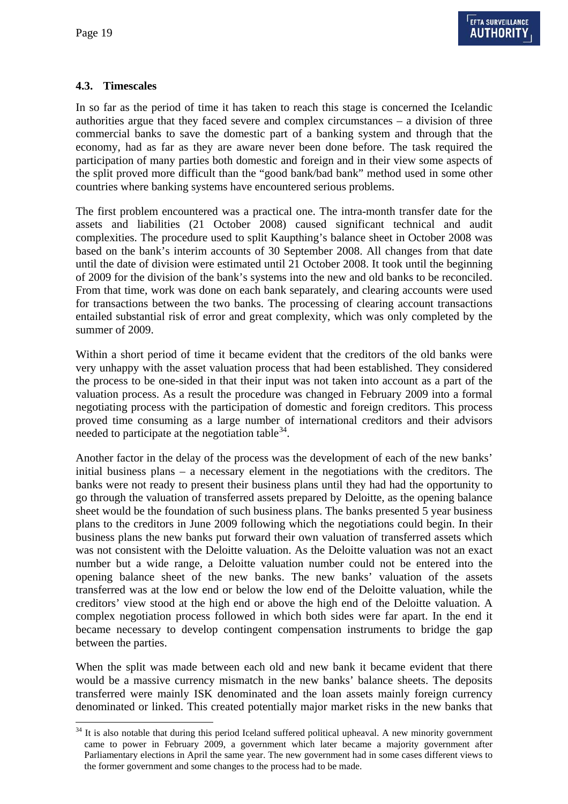$\overline{a}$ 

### **4.3. Timescales**

In so far as the period of time it has taken to reach this stage is concerned the Icelandic authorities argue that they faced severe and complex circumstances – a division of three commercial banks to save the domestic part of a banking system and through that the economy, had as far as they are aware never been done before. The task required the participation of many parties both domestic and foreign and in their view some aspects of the split proved more difficult than the "good bank/bad bank" method used in some other countries where banking systems have encountered serious problems.

The first problem encountered was a practical one. The intra-month transfer date for the assets and liabilities (21 October 2008) caused significant technical and audit complexities. The procedure used to split Kaupthing's balance sheet in October 2008 was based on the bank's interim accounts of 30 September 2008. All changes from that date until the date of division were estimated until 21 October 2008. It took until the beginning of 2009 for the division of the bank's systems into the new and old banks to be reconciled. From that time, work was done on each bank separately, and clearing accounts were used for transactions between the two banks. The processing of clearing account transactions entailed substantial risk of error and great complexity, which was only completed by the summer of 2009.

Within a short period of time it became evident that the creditors of the old banks were very unhappy with the asset valuation process that had been established. They considered the process to be one-sided in that their input was not taken into account as a part of the valuation process. As a result the procedure was changed in February 2009 into a formal negotiating process with the participation of domestic and foreign creditors. This process proved time consuming as a large number of international creditors and their advisors needed to participate at the negotiation table  $34$ .

Another factor in the delay of the process was the development of each of the new banks' initial business plans – a necessary element in the negotiations with the creditors. The banks were not ready to present their business plans until they had had the opportunity to go through the valuation of transferred assets prepared by Deloitte, as the opening balance sheet would be the foundation of such business plans. The banks presented 5 year business plans to the creditors in June 2009 following which the negotiations could begin. In their business plans the new banks put forward their own valuation of transferred assets which was not consistent with the Deloitte valuation. As the Deloitte valuation was not an exact number but a wide range, a Deloitte valuation number could not be entered into the opening balance sheet of the new banks. The new banks' valuation of the assets transferred was at the low end or below the low end of the Deloitte valuation, while the creditors' view stood at the high end or above the high end of the Deloitte valuation. A complex negotiation process followed in which both sides were far apart. In the end it became necessary to develop contingent compensation instruments to bridge the gap between the parties.

When the split was made between each old and new bank it became evident that there would be a massive currency mismatch in the new banks' balance sheets. The deposits transferred were mainly ISK denominated and the loan assets mainly foreign currency denominated or linked. This created potentially major market risks in the new banks that

<span id="page-18-0"></span><sup>&</sup>lt;sup>34</sup> It is also notable that during this period Iceland suffered political upheaval. A new minority government came to power in February 2009, a government which later became a majority government after Parliamentary elections in April the same year. The new government had in some cases different views to the former government and some changes to the process had to be made.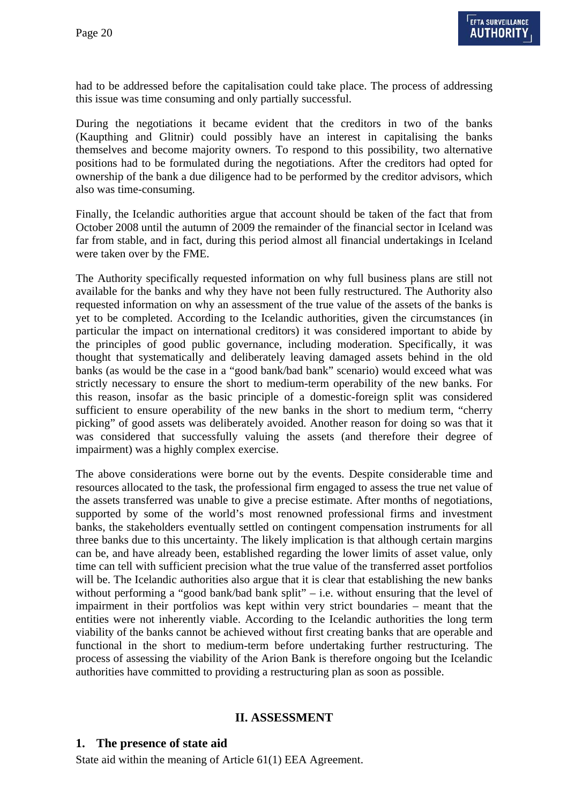had to be addressed before the capitalisation could take place. The process of addressing this issue was time consuming and only partially successful.

During the negotiations it became evident that the creditors in two of the banks (Kaupthing and Glitnir) could possibly have an interest in capitalising the banks themselves and become majority owners. To respond to this possibility, two alternative positions had to be formulated during the negotiations. After the creditors had opted for ownership of the bank a due diligence had to be performed by the creditor advisors, which also was time-consuming.

Finally, the Icelandic authorities argue that account should be taken of the fact that from October 2008 until the autumn of 2009 the remainder of the financial sector in Iceland was far from stable, and in fact, during this period almost all financial undertakings in Iceland were taken over by the FME.

The Authority specifically requested information on why full business plans are still not available for the banks and why they have not been fully restructured. The Authority also requested information on why an assessment of the true value of the assets of the banks is yet to be completed. According to the Icelandic authorities, given the circumstances (in particular the impact on international creditors) it was considered important to abide by the principles of good public governance, including moderation. Specifically, it was thought that systematically and deliberately leaving damaged assets behind in the old banks (as would be the case in a "good bank/bad bank" scenario) would exceed what was strictly necessary to ensure the short to medium-term operability of the new banks. For this reason, insofar as the basic principle of a domestic-foreign split was considered sufficient to ensure operability of the new banks in the short to medium term, "cherry picking" of good assets was deliberately avoided. Another reason for doing so was that it was considered that successfully valuing the assets (and therefore their degree of impairment) was a highly complex exercise.

The above considerations were borne out by the events. Despite considerable time and resources allocated to the task, the professional firm engaged to assess the true net value of the assets transferred was unable to give a precise estimate. After months of negotiations, supported by some of the world's most renowned professional firms and investment banks, the stakeholders eventually settled on contingent compensation instruments for all three banks due to this uncertainty. The likely implication is that although certain margins can be, and have already been, established regarding the lower limits of asset value, only time can tell with sufficient precision what the true value of the transferred asset portfolios will be. The Icelandic authorities also argue that it is clear that establishing the new banks without performing a "good bank/bad bank split" – i.e. without ensuring that the level of impairment in their portfolios was kept within very strict boundaries – meant that the entities were not inherently viable. According to the Icelandic authorities the long term viability of the banks cannot be achieved without first creating banks that are operable and functional in the short to medium-term before undertaking further restructuring. The process of assessing the viability of the Arion Bank is therefore ongoing but the Icelandic authorities have committed to providing a restructuring plan as soon as possible.

## **II. ASSESSMENT**

#### **1. The presence of state aid**

State aid within the meaning of Article 61(1) EEA Agreement.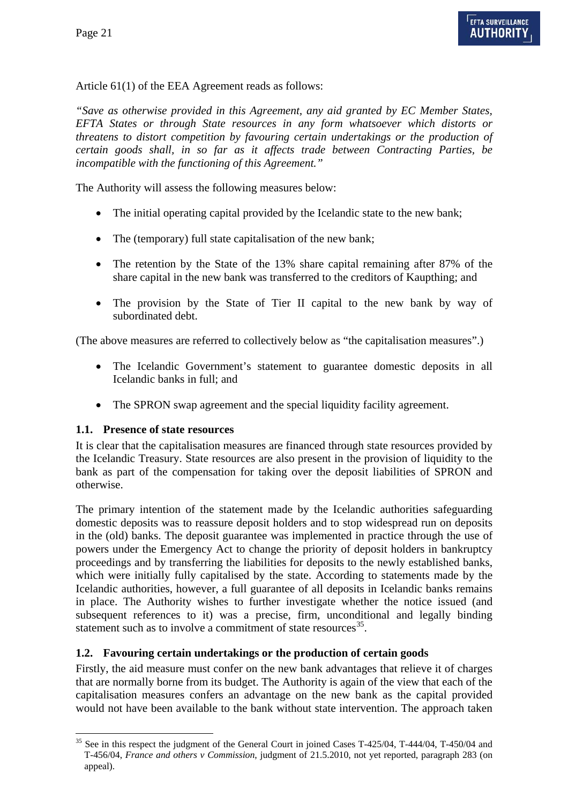Article 61(1) of the EEA Agreement reads as follows:

*"Save as otherwise provided in this Agreement, any aid granted by EC Member States, EFTA States or through State resources in any form whatsoever which distorts or threatens to distort competition by favouring certain undertakings or the production of certain goods shall, in so far as it affects trade between Contracting Parties, be incompatible with the functioning of this Agreement."* 

The Authority will assess the following measures below:

- The initial operating capital provided by the Icelandic state to the new bank;
- The (temporary) full state capitalisation of the new bank;
- The retention by the State of the 13% share capital remaining after 87% of the share capital in the new bank was transferred to the creditors of Kaupthing; and
- The provision by the State of Tier II capital to the new bank by way of subordinated debt.

(The above measures are referred to collectively below as "the capitalisation measures".)

- The Icelandic Government's statement to guarantee domestic deposits in all Icelandic banks in full; and
- The SPRON swap agreement and the special liquidity facility agreement.

#### **1.1. Presence of state resources**

 $\overline{a}$ 

It is clear that the capitalisation measures are financed through state resources provided by the Icelandic Treasury. State resources are also present in the provision of liquidity to the bank as part of the compensation for taking over the deposit liabilities of SPRON and otherwise.

The primary intention of the statement made by the Icelandic authorities safeguarding domestic deposits was to reassure deposit holders and to stop widespread run on deposits in the (old) banks. The deposit guarantee was implemented in practice through the use of powers under the Emergency Act to change the priority of deposit holders in bankruptcy proceedings and by transferring the liabilities for deposits to the newly established banks, which were initially fully capitalised by the state. According to statements made by the Icelandic authorities, however, a full guarantee of all deposits in Icelandic banks remains in place. The Authority wishes to further investigate whether the notice issued (and subsequent references to it) was a precise, firm, unconditional and legally binding statement such as to involve a commitment of state resources<sup>[35](#page-20-0)</sup>.

#### **1.2. Favouring certain undertakings or the production of certain goods**

Firstly, the aid measure must confer on the new bank advantages that relieve it of charges that are normally borne from its budget. The Authority is again of the view that each of the capitalisation measures confers an advantage on the new bank as the capital provided would not have been available to the bank without state intervention. The approach taken

<span id="page-20-0"></span><sup>&</sup>lt;sup>35</sup> See in this respect the judgment of the General Court in joined Cases T-425/04, T-444/04, T-450/04 and T-456/04, *France and others v Commission*, judgment of 21.5.2010, not yet reported, paragraph 283 (on appeal).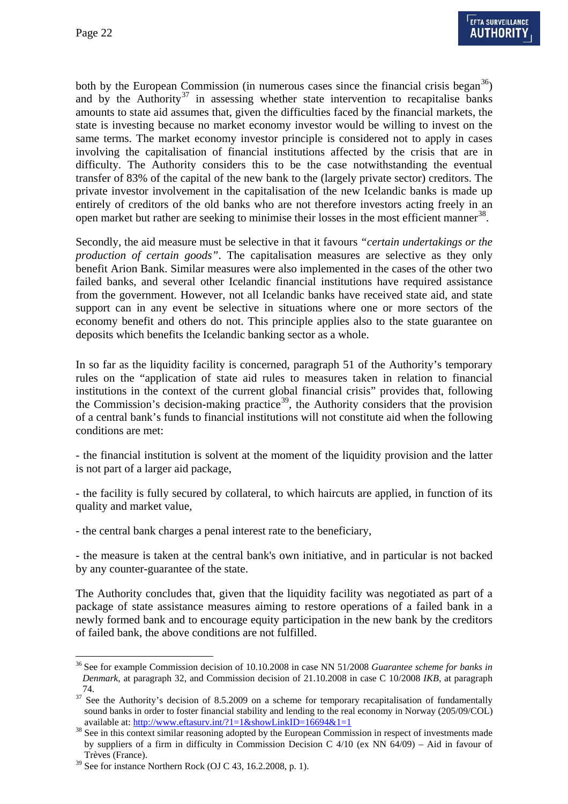both by the European Commission (in numerous cases since the financial crisis began<sup>36</sup>) and by the Authority<sup>[37](#page-21-1)</sup> in assessing whether state intervention to recapitalise banks amounts to state aid assumes that, given the difficulties faced by the financial markets, the state is investing because no market economy investor would be willing to invest on the same terms. The market economy investor principle is considered not to apply in cases involving the capitalisation of financial institutions affected by the crisis that are in difficulty. The Authority considers this to be the case notwithstanding the eventual transfer of 83% of the capital of the new bank to the (largely private sector) creditors. The private investor involvement in the capitalisation of the new Icelandic banks is made up entirely of creditors of the old banks who are not therefore investors acting freely in an open market but rather are seeking to minimise their losses in the most efficient manner<sup>[38](#page-21-2)</sup>.

Secondly, the aid measure must be selective in that it favours *"certain undertakings or the production of certain goods"*. The capitalisation measures are selective as they only benefit Arion Bank. Similar measures were also implemented in the cases of the other two failed banks, and several other Icelandic financial institutions have required assistance from the government. However, not all Icelandic banks have received state aid, and state support can in any event be selective in situations where one or more sectors of the economy benefit and others do not. This principle applies also to the state guarantee on deposits which benefits the Icelandic banking sector as a whole.

In so far as the liquidity facility is concerned, paragraph 51 of the Authority's temporary rules on the "application of state aid rules to measures taken in relation to financial institutions in the context of the current global financial crisis" provides that, following the Commission's decision-making practice<sup>39</sup>, the Authority considers that the provision of a central bank's funds to financial institutions will not constitute aid when the following conditions are met:

- the financial institution is solvent at the moment of the liquidity provision and the latter is not part of a larger aid package,

- the facility is fully secured by collateral, to which haircuts are applied, in function of its quality and market value,

- the central bank charges a penal interest rate to the beneficiary,

- the measure is taken at the central bank's own initiative, and in particular is not backed by any counter-guarantee of the state.

The Authority concludes that, given that the liquidity facility was negotiated as part of a package of state assistance measures aiming to restore operations of a failed bank in a newly formed bank and to encourage equity participation in the new bank by the creditors of failed bank, the above conditions are not fulfilled.

 $\overline{a}$ 

<span id="page-21-0"></span><sup>36</sup> See for example Commission decision of 10.10.2008 in case NN 51/2008 *Guarantee scheme for banks in Denmark*, at paragraph 32, and Commission decision of 21.10.2008 in case C 10/2008 *IKB,* at paragraph

<span id="page-21-1"></span><sup>74.&</sup>lt;br><sup>37</sup> See the Authority's decision of 8.5.2009 on a scheme for temporary recapitalisation of fundamentally sound banks in order to foster financial stability and lending to the real economy in Norway (205/09/COL)

<span id="page-21-2"></span>available at:  $\frac{http://www.effasurv.int/?1=1&showLinkID=16694&1=1}{88}$  See in this context similar reasoning adopted by the European Commission in respect of investments made by suppliers of a firm in difficulty in Commission Decision C 4/10 (ex NN 64/09) – Aid in favour of Trèves (France).

<span id="page-21-3"></span><sup>39</sup> See for instance Northern Rock (OJ C 43, 16.2.2008, p. 1).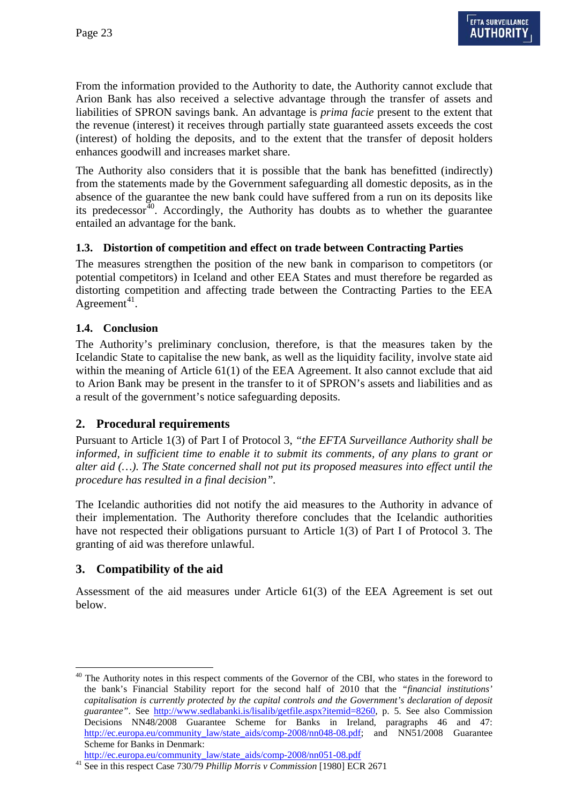From the information provided to the Authority to date, the Authority cannot exclude that Arion Bank has also received a selective advantage through the transfer of assets and liabilities of SPRON savings bank. An advantage is *prima facie* present to the extent that the revenue (interest) it receives through partially state guaranteed assets exceeds the cost (interest) of holding the deposits, and to the extent that the transfer of deposit holders enhances goodwill and increases market share.

The Authority also considers that it is possible that the bank has benefitted (indirectly) from the statements made by the Government safeguarding all domestic deposits, as in the absence of the guarantee the new bank could have suffered from a run on its deposits like its predecessor<sup> $40$ </sup>. Accordingly, the Authority has doubts as to whether the guarantee entailed an advantage for the bank.

## **1.3. Distortion of competition and effect on trade between Contracting Parties**

The measures strengthen the position of the new bank in comparison to competitors (or potential competitors) in Iceland and other EEA States and must therefore be regarded as distorting competition and affecting trade between the Contracting Parties to the EEA Agreement<sup>[41](#page-22-1)</sup>.

### **1.4. Conclusion**

The Authority's preliminary conclusion, therefore, is that the measures taken by the Icelandic State to capitalise the new bank, as well as the liquidity facility, involve state aid within the meaning of Article 61(1) of the EEA Agreement. It also cannot exclude that aid to Arion Bank may be present in the transfer to it of SPRON's assets and liabilities and as a result of the government's notice safeguarding deposits.

## **2. Procedural requirements**

Pursuant to Article 1(3) of Part I of Protocol 3, *"the EFTA Surveillance Authority shall be informed, in sufficient time to enable it to submit its comments, of any plans to grant or alter aid (…). The State concerned shall not put its proposed measures into effect until the procedure has resulted in a final decision".*

The Icelandic authorities did not notify the aid measures to the Authority in advance of their implementation. The Authority therefore concludes that the Icelandic authorities have not respected their obligations pursuant to Article 1(3) of Part I of Protocol 3. The granting of aid was therefore unlawful.

## **3. Compatibility of the aid**

Assessment of the aid measures under Article 61(3) of the EEA Agreement is set out below.

<span id="page-22-0"></span> $\overline{a}$  $40$  The Authority notes in this respect comments of the Governor of the CBI, who states in the foreword to the bank's Financial Stability report for the second half of 2010 that the *"financial institutions' capitalisation is currently protected by the capital controls and the Government's declaration of deposit guarantee"*. See http://www.sedlabanki.is/lisalib/getfile.aspx?itemid=8260, p. 5. See also Commission Decisions NN48/2008 Guarantee Scheme for Banks in Ireland, paragraphs 46 and 47: http://ec.europa.eu/community\_law/state\_aids/comp-2008/nn048-08.pdf; and NN51/2008 Guarantee Scheme for Banks in Denmark:<br>http://ec.europa.eu/community\_law/state\_aids/comp-2008/nn051-08.pdf

<span id="page-22-1"></span><sup>&</sup>lt;sup>41</sup> See in this respect Case 730/79 *Phillip Morris v Commission* [1980] ECR 2671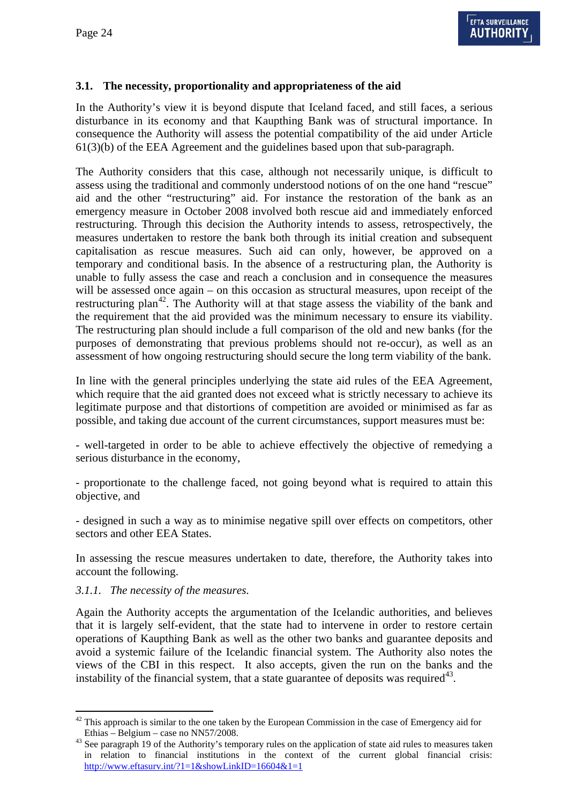### **3.1. The necessity, proportionality and appropriateness of the aid**

In the Authority's view it is beyond dispute that Iceland faced, and still faces, a serious disturbance in its economy and that Kaupthing Bank was of structural importance. In consequence the Authority will assess the potential compatibility of the aid under Article 61(3)(b) of the EEA Agreement and the guidelines based upon that sub-paragraph.

The Authority considers that this case, although not necessarily unique, is difficult to assess using the traditional and commonly understood notions of on the one hand "rescue" aid and the other "restructuring" aid. For instance the restoration of the bank as an emergency measure in October 2008 involved both rescue aid and immediately enforced restructuring. Through this decision the Authority intends to assess, retrospectively, the measures undertaken to restore the bank both through its initial creation and subsequent capitalisation as rescue measures. Such aid can only, however, be approved on a temporary and conditional basis. In the absence of a restructuring plan, the Authority is unable to fully assess the case and reach a conclusion and in consequence the measures will be assessed once again – on this occasion as structural measures, upon receipt of the restructuring plan<sup>[42](#page-23-0)</sup>. The Authority will at that stage assess the viability of the bank and the requirement that the aid provided was the minimum necessary to ensure its viability. The restructuring plan should include a full comparison of the old and new banks (for the purposes of demonstrating that previous problems should not re-occur), as well as an assessment of how ongoing restructuring should secure the long term viability of the bank.

In line with the general principles underlying the state aid rules of the EEA Agreement, which require that the aid granted does not exceed what is strictly necessary to achieve its legitimate purpose and that distortions of competition are avoided or minimised as far as possible, and taking due account of the current circumstances, support measures must be:

- well-targeted in order to be able to achieve effectively the objective of remedying a serious disturbance in the economy,

- proportionate to the challenge faced, not going beyond what is required to attain this objective, and

- designed in such a way as to minimise negative spill over effects on competitors, other sectors and other EEA States.

In assessing the rescue measures undertaken to date, therefore, the Authority takes into account the following.

#### *3.1.1. The necessity of the measures.*

 $\overline{a}$ 

Again the Authority accepts the argumentation of the Icelandic authorities, and believes that it is largely self-evident, that the state had to intervene in order to restore certain operations of Kaupthing Bank as well as the other two banks and guarantee deposits and avoid a systemic failure of the Icelandic financial system. The Authority also notes the views of the CBI in this respect. It also accepts, given the run on the banks and the instability of the financial system, that a state guarantee of deposits was required<sup>43</sup>.

<span id="page-23-0"></span> $42$  This approach is similar to the one taken by the European Commission in the case of Emergency aid for

<span id="page-23-1"></span>Ethias – Belgium – case no NN57/2008.<br><sup>43</sup> See paragraph 19 of the Authority's temporary rules on the application of state aid rules to measures taken in relation to financial institutions in the context of the current global financial crisis: http://www.eftasurv.int/?1=1&showLinkID=16604&1=1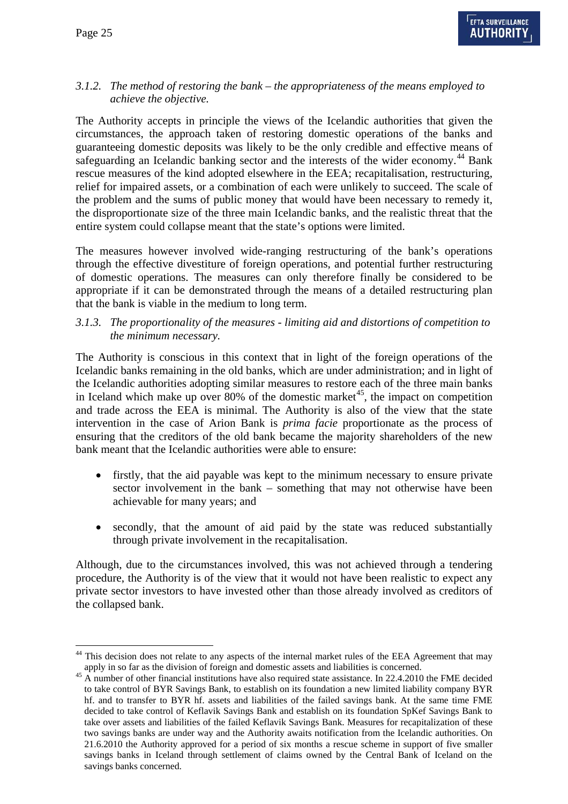$\overline{a}$ 

### *3.1.2. The method of restoring the bank – the appropriateness of the means employed to achieve the objective.*

The Authority accepts in principle the views of the Icelandic authorities that given the circumstances, the approach taken of restoring domestic operations of the banks and guaranteeing domestic deposits was likely to be the only credible and effective means of safeguarding an Icelandic banking sector and the interests of the wider economy.<sup>44</sup> Bank rescue measures of the kind adopted elsewhere in the EEA; recapitalisation, restructuring, relief for impaired assets, or a combination of each were unlikely to succeed. The scale of the problem and the sums of public money that would have been necessary to remedy it, the disproportionate size of the three main Icelandic banks, and the realistic threat that the entire system could collapse meant that the state's options were limited.

The measures however involved wide-ranging restructuring of the bank's operations through the effective divestiture of foreign operations, and potential further restructuring of domestic operations. The measures can only therefore finally be considered to be appropriate if it can be demonstrated through the means of a detailed restructuring plan that the bank is viable in the medium to long term.

#### *3.1.3. The proportionality of the measures - limiting aid and distortions of competition to the minimum necessary.*

The Authority is conscious in this context that in light of the foreign operations of the Icelandic banks remaining in the old banks, which are under administration; and in light of the Icelandic authorities adopting similar measures to restore each of the three main banks in Iceland which make up over 80% of the domestic market<sup>45</sup>, the impact on competition and trade across the EEA is minimal. The Authority is also of the view that the state intervention in the case of Arion Bank is *prima facie* proportionate as the process of ensuring that the creditors of the old bank became the majority shareholders of the new bank meant that the Icelandic authorities were able to ensure:

- firstly, that the aid payable was kept to the minimum necessary to ensure private sector involvement in the bank – something that may not otherwise have been achievable for many years; and
- secondly, that the amount of aid paid by the state was reduced substantially through private involvement in the recapitalisation.

Although, due to the circumstances involved, this was not achieved through a tendering procedure, the Authority is of the view that it would not have been realistic to expect any private sector investors to have invested other than those already involved as creditors of the collapsed bank.

<span id="page-24-1"></span><span id="page-24-0"></span><sup>&</sup>lt;sup>44</sup> This decision does not relate to any aspects of the internal market rules of the EEA Agreement that may apply in so far as the division of foreign and domestic assets and liabilities is concerned.<br><sup>45</sup> A number of other financial institutions have also required state assistance. In 22.4.2010 the FME decided

to take control of BYR Savings Bank, to establish on its foundation a new limited liability company BYR hf. and to transfer to BYR hf. assets and liabilities of the failed savings bank. At the same time FME decided to take control of Keflavik Savings Bank and establish on its foundation SpKef Savings Bank to take over assets and liabilities of the failed Keflavik Savings Bank. Measures for recapitalization of these two savings banks are under way and the Authority awaits notification from the Icelandic authorities. On 21.6.2010 the Authority approved for a period of six months a rescue scheme in support of five smaller savings banks in Iceland through settlement of claims owned by the Central Bank of Iceland on the savings banks concerned.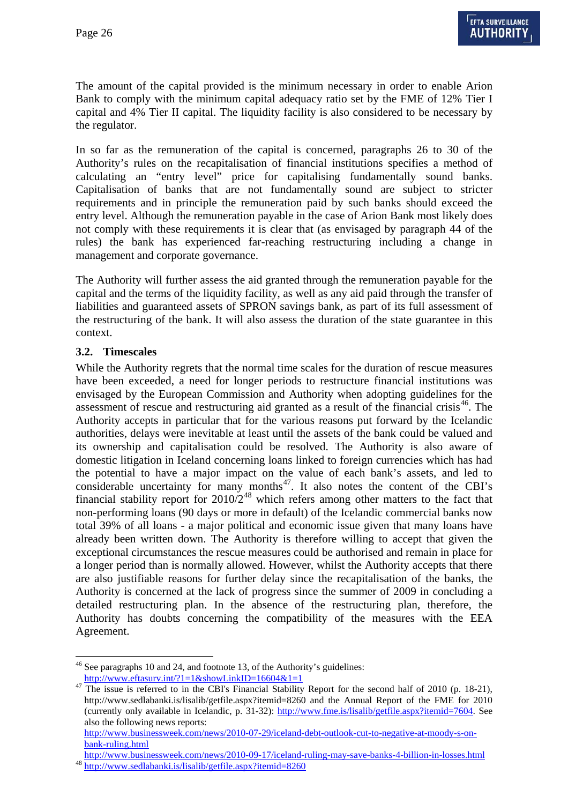The amount of the capital provided is the minimum necessary in order to enable Arion Bank to comply with the minimum capital adequacy ratio set by the FME of 12% Tier I capital and 4% Tier II capital. The liquidity facility is also considered to be necessary by the regulator.

In so far as the remuneration of the capital is concerned, paragraphs 26 to 30 of the Authority's rules on the recapitalisation of financial institutions specifies a method of calculating an "entry level" price for capitalising fundamentally sound banks. Capitalisation of banks that are not fundamentally sound are subject to stricter requirements and in principle the remuneration paid by such banks should exceed the entry level. Although the remuneration payable in the case of Arion Bank most likely does not comply with these requirements it is clear that (as envisaged by paragraph 44 of the rules) the bank has experienced far-reaching restructuring including a change in management and corporate governance.

The Authority will further assess the aid granted through the remuneration payable for the capital and the terms of the liquidity facility, as well as any aid paid through the transfer of liabilities and guaranteed assets of SPRON savings bank, as part of its full assessment of the restructuring of the bank. It will also assess the duration of the state guarantee in this context.

#### **3.2. Timescales**

 $\overline{a}$ 

While the Authority regrets that the normal time scales for the duration of rescue measures have been exceeded, a need for longer periods to restructure financial institutions was envisaged by the European Commission and Authority when adopting guidelines for the assessment of rescue and restructuring aid granted as a result of the financial crisis<sup>46</sup>. The Authority accepts in particular that for the various reasons put forward by the Icelandic authorities, delays were inevitable at least until the assets of the bank could be valued and its ownership and capitalisation could be resolved. The Authority is also aware of domestic litigation in Iceland concerning loans linked to foreign currencies which has had the potential to have a major impact on the value of each bank's assets, and led to considerable uncertainty for many months<sup>47</sup>. It also notes the content of the CBI's financial stability report for  $2010/2^{48}$  which refers among other matters to the fact that non-performing loans (90 days or more in default) of the Icelandic commercial banks now total 39% of all loans - a major political and economic issue given that many loans have already been written down. The Authority is therefore willing to accept that given the exceptional circumstances the rescue measures could be authorised and remain in place for a longer period than is normally allowed. However, whilst the Authority accepts that there are also justifiable reasons for further delay since the recapitalisation of the banks, the Authority is concerned at the lack of progress since the summer of 2009 in concluding a detailed restructuring plan. In the absence of the restructuring plan, therefore, the Authority has doubts concerning the compatibility of the measures with the EEA Agreement.

<span id="page-25-0"></span> $46$  See paragraphs 10 and 24, and footnote 13, of the Authority's guidelines:

<span id="page-25-1"></span> $\frac{http://www.effasurv.int?1=1&showLinkID=16604&1=1}{10004&1}$ <br>47 The issue is referred to in the CBI's Financial Stability Report for the second half of 2010 (p. 18-21), http://www.sedlabanki.is/lisalib/getfile.aspx?itemid=8260 and the Annual Report of the FME for 2010 (currently only available in Icelandic, p. 31-32): http://www.fme.is/lisalib/getfile.aspx?itemid=7604. See also the following news reports:

http://www.businessweek.com/news/2010-07-29/iceland-debt-outlook-cut-to-negative-at-moody-s-onbank-ruling.html

<span id="page-25-2"></span>http://www.businessweek.com/news/2010-09-17/iceland-ruling-may-save-banks-4-billion-in-losses.html 48 http://www.sedlabanki.is/lisalib/getfile.aspx?itemid=8260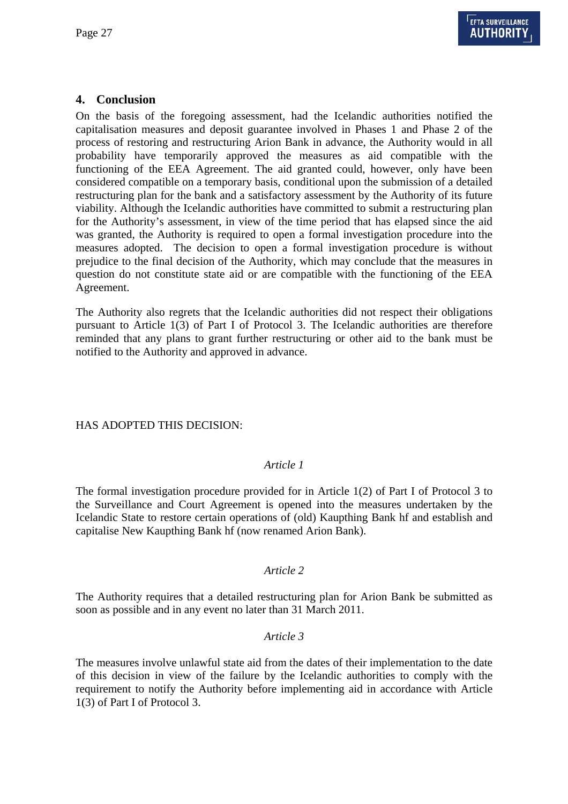### **4. Conclusion**

On the basis of the foregoing assessment, had the Icelandic authorities notified the capitalisation measures and deposit guarantee involved in Phases 1 and Phase 2 of the process of restoring and restructuring Arion Bank in advance, the Authority would in all probability have temporarily approved the measures as aid compatible with the functioning of the EEA Agreement. The aid granted could, however, only have been considered compatible on a temporary basis, conditional upon the submission of a detailed restructuring plan for the bank and a satisfactory assessment by the Authority of its future viability. Although the Icelandic authorities have committed to submit a restructuring plan for the Authority's assessment, in view of the time period that has elapsed since the aid was granted, the Authority is required to open a formal investigation procedure into the measures adopted. The decision to open a formal investigation procedure is without prejudice to the final decision of the Authority, which may conclude that the measures in question do not constitute state aid or are compatible with the functioning of the EEA Agreement.

The Authority also regrets that the Icelandic authorities did not respect their obligations pursuant to Article 1(3) of Part I of Protocol 3. The Icelandic authorities are therefore reminded that any plans to grant further restructuring or other aid to the bank must be notified to the Authority and approved in advance.

#### HAS ADOPTED THIS DECISION:

#### *Article 1*

The formal investigation procedure provided for in Article 1(2) of Part I of Protocol 3 to the Surveillance and Court Agreement is opened into the measures undertaken by the Icelandic State to restore certain operations of (old) Kaupthing Bank hf and establish and capitalise New Kaupthing Bank hf (now renamed Arion Bank).

#### *Article 2*

The Authority requires that a detailed restructuring plan for Arion Bank be submitted as soon as possible and in any event no later than 31 March 2011.

#### *Article 3*

The measures involve unlawful state aid from the dates of their implementation to the date of this decision in view of the failure by the Icelandic authorities to comply with the requirement to notify the Authority before implementing aid in accordance with Article 1(3) of Part I of Protocol 3.